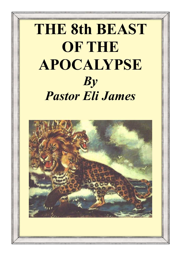# **THE 8th BEAST OF THE APOCALYPSE** *By Pastor Eli James*

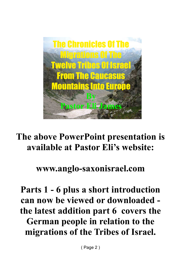

# **The above PowerPoint presentation is available at Pastor Eli's website:**

# **www.anglo-saxonisrael.com**

**Parts 1 - 6 plus a short introduction can now be viewed or downloaded the latest addition part 6 covers the German people in relation to the migrations of the Tribes of Israel.**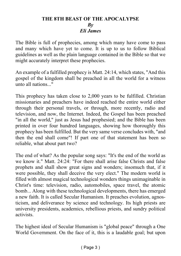#### **THE 8TH BEAST OF THE APOCALYPSE** *By Eli James*

The Bible is full of prophecies, among which many have come to pass and many which have yet to come. It is up to us to follow Biblical guidelines as well as the plain language contained in the Bible so that we might accurately interpret these prophecies.

An example of a fulfilled prophecy is Matt. 24:14, which states, "And this gospel of the kingdom shall be preached in all the world for a witness unto all nations..."

This prophecy has taken close to 2,000 years to be fulfilled. Christian missionaries and preachers have indeed reached the entire world either through their personal travels, or through, more recently, radio and television, and now, the Internet. Indeed, the Gospel has been preached "in all the world," just as Jesus had prophesied; and the Bible has been printed in over four hundred languages, showing how thoroughly this prophecy has been fulfilled. But the very same verse concludes with, "and then the end shall come"! If part one of that statement has been so reliable, what about part two?

The end of what? As the popular song says: "It's the end of the world as we know it." Matt. 24:24: "For there shall arise false Christs and false prophets and shall show great signs and wonders; insomuch that, if it were possible, they shall deceive the very elect." The modern world is filled with almost magical technological wonders things unimaginable in Christ's time: television, radio, automobiles, space travel, the atomic bomb... Along with these technological developments, there has emerged a new faith. It is called Secular Humanism. It preaches evolution, agnosticism, and deliverance by science and technology. Its high priests are university presidents, academics, rebellious priests, and sundry political activists.

The highest ideal of Secular Humanism is "global peace" through a One World Government. On the face of it, this is a laudable goal; but upon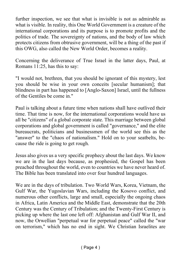further inspection, we see that what is invisible is not as admirable as what is visible. In reality, this One World Government is a creature of the international corporations and its purpose is to promote profits and the politics of trade. The sovereignty of nations, and the body of law which protects citizens from obtrusive government, will be a thing of the past if this OWG, also called the New World Order, becomes a reality.

Concerning the deliverance of True Israel in the latter days, Paul, at Romans 11:25, has this to say:

"I would not, brethren, that you should be ignorant of this mystery, lest you should be wise in your own conceits [secular humanism]; that blindness in part has happened to [Anglo-Saxon] Israel, until the fullness of the Gentiles be come in."

Paul is talking about a future time when nations shall have outlived their time. That time is now, for the international corporations would have us all be "citizens" of a global corporate state. This marriage between global corporations and global government is called "governance," and the elite bureaucrats, politicians and businessmen of the world see this as the "answer" to the "chaos of nationalism." Hold on to your seatbelts, because the ride is going to get rough.

Jesus also gives us a very specific prophecy about the last days. We know we are in the last days because, as prophesied, the Gospel has been preached throughout the world, even to countries we have never heard of. The Bible has been translated into over four hundred languages.

We are in the days of tribulation. Two World Wars, Korea, Vietnam, the Gulf War, the Yugoslavian Wars, including the Kosovo conflict, and numerous other conflicts, large and small, especially the ongoing chaos in Africa, Latin America and the Middle East, demonstrate that the 20th Century was the Century of Tribulation; and the Twenty-First Century is picking up where the last one left off: Afghanistan and Gulf War II, and now, the Orwellian "perpetual war for perpetual peace" called the "war on terrorism," which has no end in sight. We Christian Israelites are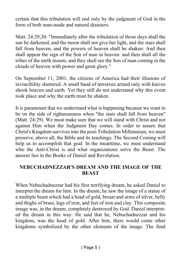certain that this tribulation will end only by the judgment of God in the form of both man-made and natural disasters.

Matt. 24:29,30: "Immediately after the tribulation of those days shall the sun be darkened, and the moon shall not give her light, and the stars shall fall from heaven, and the powers of heaven shall be shaken: And then shall appear the sign of the Son of man in heaven: and then shall all the tribes of the earth mourn, and they shall see the Son of man coming in the clouds of heaven with power and great glory."

On September 11, 2001, the citizens of America had their illusions of invincibility shattered. A small band of terrorists armed only with knives shook heaven and earth. Yet they still do not understand why this event took place and why the earth must be shaken.

It is paramount that we understand what is happening because we want to be on the side of righteousness when "the stars shall fall from heaven" (Matt. 24:29). We must make sure that we will stand with Christ and not against Him when the Judgment Day comes. In order to assure that Christ's Kingdom survives into the post-Tribulation Millennium, we must preserve, above all, the Bible and its teachings. The Second Coming will help us to accomplish that goal. In the meantime, we must understand who the Anti-Christ is and what organizations serve the Beast. The answer lies in the Books of Daniel and Revelation.

#### **NEBUCHADNEZZAR'S DREAM AND THE IMAGE OF THE BEAST**

When Nebuchadnezzar had his first terrifying dream, he asked Daniel to interpret the dream for him. In the dream, he saw the image of a statue of a multiple beast which had a head of gold, breast and arms of silver, belly and thighs of brass, legs of iron, and feet of iron and clay. This composite image was, in the dream, completely destroyed by God. Daniel interpreted the dream in this way: He said that he, Nebuchadnezzar and his kingdom, was the head of gold. After him, there would come other kingdoms symbolized by the other elements of the image. The final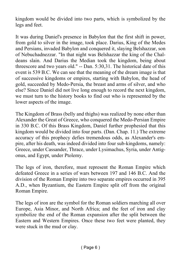kingdom would be divided into two parts, which is symbolized by the legs and feet.

It was during Daniel's presence in Babylon that the first shift in power, from gold to silver in the image, took place. Darius, King of the Medes and Persians, invaded Babylon and conquered it, slaying Belshazzar, son of Nebuchadnezzar. "In that night was Belshazzar the king of the Chaldeans slain. And Darius the Median took the kingdom, being about threescore and two years old." -- Dan. 5:30,31. The historical date of this event is 539 B.C. We can see that the meaning of the dream image is that of successive kingdoms or empires, starting with Babylon, the head of gold, succeeded by Medo-Persia, the breast and arms of silver, and who else? Since Daniel did not live long enough to record the next kingdom, we must turn to the history books to find out who is represented by the lower aspects of the image.

The Kingdom of Brass (belly and thighs) was realized by none other than Alexander the Great of Greece, who conquered the Medo-Persian Empire in 330 B.C. Of this Brass Kingdom, Daniel further prophesied that this kingdom would be divided into four parts. (Dan. Chap. 11.) The extreme accuracy of this prophecy defies tremendous odds, as Alexander's empire, after his death, was indeed divided into four sub-kingdoms, namely: Greece, under Cassander, Thrace, under Lysimachus, Syria, under Antigonus, and Egypt, under Ptolemy.

The legs of iron, therefore, must represent the Roman Empire which defeated Greece in a series of wars between 197 and 146 B.C. And the division of the Roman Empire into two separate empires occurred in 395 A.D., when Byzantium, the Eastern Empire split off from the original Roman Empire.

The legs of iron are the symbol for the Roman soldiers marching all over Europe, Asia Minor, and North Africa; and the feet of iron and clay symbolize the end of the Roman expansion after the split between the Eastern and Western Empires. Once these two feet were planted, they were stuck in the mud or clay.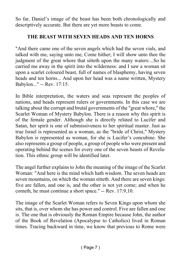So far, Daniel's image of the beast has been both chronologically and descriptively accurate. But there are yet more beasts to come.

#### **THE BEAST WITH SEVEN HEADS AND TEN HORNS**

"And there came one of the seven angels which had the seven vials, and talked with me, saying unto me, Come hither; I will show unto thee the judgment of the great whore that sitteth upon the many waters:...So he carried me away in the spirit into the wilderness: and I saw a woman sit upon a scarlet coloured beast, full of names of blasphemy, having seven heads and ten horns... And upon her head was a name written, Mystery Babylon..." -- Rev. 17:15.

In Bible interpretation, the waters and seas represent the peoples of nations, and heads represent rulers or governments. In this case we are talking about the corrupt and brutal governments of the "great whore," the Scarlet Woman of Mystery Babylon. There is a reason why this spirit is of the female gender. Although she is directly related to Lucifer and Satan, her spirit is one of submissiveness to her spiritual master. Just as true Israel is represented as a woman, as the "bride of Christ," Mystery Babylon is represented as woman, for she is Lucifer's concubine. She also represents a group of people, a group of people who were present and operating behind the scenes for every one of the seven beasts of Revelation. This ethnic group will be identified later.

The angel further explains to John the meaning of the image of the Scarlet Woman: "And here is the mind which hath wisdom. The seven heads are seven mountains, on which the woman sitteth. And there are seven kings: five are fallen, and one is, and the other is not yet come; and when he cometh, he must continue a short space." -- Rev. 17:9,10.

The image of the Scarlet Woman refers to Seven Kings upon whom she sits, that is, over whom she has power and control. Five are fallen and one is. The one that is obviously the Roman Empire because John, the author of the Book of Revelation (Apocalypse to Catholics) lived in Roman times. Tracing backward in time, we know that previous to Rome were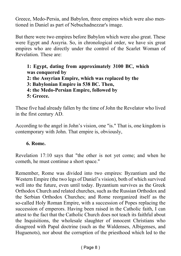Greece, Medo-Persia, and Babylon, three empires which were also mentioned in Daniel as part of Nebuchadnezzar's image.

But there were two empires before Babylon which were also great. These were Egypt and Assyria. So, in chronological order, we have six great empires who are directly under the control of the Scarlet Woman of Revelation. These are:

**1: Egypt, dating from approximately 3100 BC, which was conquered by 2: the Assyrian Empire, which was replaced by the**

- **3: Babylonian Empire in 538 BC. Then,**
- **4: the Medo-Persian Empire, followed by**
- **5: Greece.**

These five had already fallen by the time of John the Revelator who lived in the first century AD.

According to the angel in John's vision, one "is." That is, one kingdom is contemporary with John. That empire is, obviously,

#### **6. Rome.**

Revelation 17:10 says that "the other is not yet come; and when he cometh, he must continue a short space."

Remember, Rome was divided into two empires: Byzantium and the Western Empire (the two legs of Daniel's vision), both of which survived well into the future, even until today. Byzantium survives as the Greek Orthodox Church and related churches, such as the Russian Orthodox and the Serbian Orthodox Churches; and Rome reorganized itself as the so-called Holy Roman Empire, with a succession of Popes replacing the succession of emperors. Having been raised in the Catholic faith, I can attest to the fact that the Catholic Church does not teach its faithful about the Inquisitions, the wholesale slaughter of innocent Christians who disagreed with Papal doctrine (such as the Waldenses, Albigenses, and Huguenots), nor about the corruption of the priesthood which led to the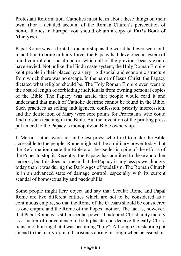Protestant Reformation. Catholics must learn about these things on their own. (For a detailed account of the Roman Church's persecution of non-Catholics in Europe, you should obtain a copy of **Fox's Book of Martyrs**.)

Papal Rome was as brutal a dictatorship as the world had ever seen, but, in addition to brute military force, the Papacy had developed a system of mind control and social control which all of the previous beasts would have envied. Not unlike the Hindu caste system, the Holy Roman Empire kept people in their places by a very rigid social and economic structure from which there was no escape. In the name of Jesus Christ, the Papacy dictated what religion should be. The Holy Roman Empire even went to the absurd length of forbidding individuals from owning personal copies of the Bible. The Papacy was afraid that people would read it and understand that much of Catholic doctrine cannot be found in the Bible. Such practices as selling indulgences, confession, priestly intercession, and the deification of Mary were sore points for Protestants who could find no such teaching in the Bible. But the invention of the printing press put an end to the Papacy's monopoly on Bible ownership.

If Martin Luther were not an honest priest who tried to make the Bible accessible to the people, Rome might still be a military power today, but the Reformation made the Bible a #1 bestseller in spite of the efforts of the Popes to stop it. Recently, the Papacy has admitted to these and other "errors", but this does not mean that the Papacy is any less power-hungry today than it was during the Dark Ages of feudalism. The Roman Church is in an advanced state of damage control, especially with its current scandal of homosexuality and paedophilia.

Some people might here object and say that Secular Rome and Papal Rome are two different entities which are not to be considered as a continuous empire, so that the Rome of the Caesars should be considered as one empire and the Rome of the Popes another. The fact is, however, that Papal Rome was still a secular power. It adopted Christianity merely as a matter of convenience to both placate and deceive the early Christians into thinking that it was becoming "holy". Although Constantine put an end to the martyrdom of Christians during his reign when he issued his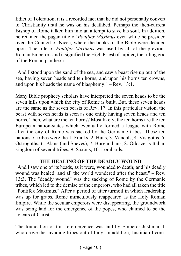Edict of Toleration, it is a recorded fact that he did not personally convert to Christianity until he was on his deathbed. Perhaps the then-current Bishop of Rome talked him into an attempt to save his soul. In addition, he retained the pagan title of *Pontifex Maximus* even while he presided over the Council of Nicea, where the books of the Bible were decided upon. The title of *Pontifex Maximus* was used by all of the previous Roman Emperors and it signified the High Priest of Jupiter, the ruling god of the Roman pantheon.

"And I stood upon the sand of the sea, and saw a beast rise up out of the sea, having seven heads and ten horns, and upon his horns ten crowns, and upon his heads the name of blasphemy." – Rev. 13:1.

Many Bible prophecy scholars have interpreted the seven heads to be the seven hills upon which the city of Rome is built. But, these seven heads are the same as the seven beasts of Rev. 17. In this particular vision, the beast with seven heads is seen as one entity having seven heads and ten horns. Then, what are the ten horns? Most likely, the ten horns are the ten European nation-states which eventually formed a league with Rome after the city of Rome was sacked by the Germanic tribes. These ten nations or tribes were the 1. Franks, 2. Huns, 3. Vandals, 4. Visigoths, 5. Ostrogoths, 6. Alans (and Sueves), 7. Burgundians, 8. Odoacer's Italian kingdom of several tribes, 9. Saxons, 10. Lombards.

#### **THE HEALING OF THE DEADLY WOUND**

"And I saw one of its heads, as it were, wounded to death; and his deadly wound was healed: and all the world wondered after the beast." – Rev. 13:3. The "deadly wound" was the sacking of Rome by the Germanic tribes, which led to the demise of the emperors, who had all taken the title "Pontifex Maximus." After a period of utter turmoil in which leadership was up for grabs, Rome miraculously reappeared as the Holy Roman Empire. While the secular emperors were disappearing, the groundwork was being laid for the emergence of the popes, who claimed to be the "vicars of Christ".

The foundation of this re-emergence was laid by Emperor Justinian I, who drove the invading tribes out of Italy. In addition, Justinian I com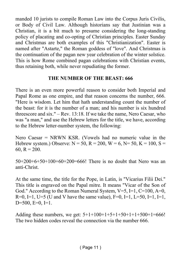manded 10 jurists to compile Roman Law into the Corpus Juris Civilis, or Body of Civil Law. Although historians say that Justinian was a Christian, it is a bit much to presume considering the long-standing policy of placating and co-opting of Christian principles. Easter Sunday and Christmas are both examples of this "Christianization". Easter is named after "Astarte," the Roman goddess of "love". And Christmas is the continuation of the pagan new year celebration of the winter solstice. This is how Rome combined pagan celebrations with Christian events, thus retaining both, while never repudiating the former.

#### **THE NUMBER OF THE BEAST: 666**

There is an even more powerful reason to consider both Imperial and Papal Rome as one empire, and that reason concerns the number, 666. "Here is wisdom. Let him that hath understanding count the number of the beast: for it is the number of a man; and his number is six hundred threescore and six." – Rev. 13:18. If we take the name, Nero Caesar, who was "a man," and use the Hebrew letters for the title, we have, according to the Hebrew letter-number system, the following:

Nero Caesar = NRWN KSR. (Vowels had no numeric value in the Hebrew system.) Observe:  $N = 50$ ,  $R = 200$ ,  $W = 6$ ,  $N = 50$ ,  $K = 100$ ,  $S =$ 60,  $R = 200$ .

50+200+6+50+100+60+200=666! There is no doubt that Nero was an anti-Christ.

At the same time, the title for the Pope, in Latin, is "Vicarius Filii Dei." This title is engraved on the Papal mitre. It means "Vicar of the Son of God." According to the Roman Numeral System, V=5, I=1, C=100, A=0, R=0, I=1, U=5 (U and V have the same value), F=0, I=1, L=50, I=1, I=1, D=500,  $E=0$ ,  $I=1$ .

Adding these numbers, we get:  $5+1+100+1+5+1+50+1+1+500+1=666!$ The two hidden codes reveal the connection via the number 666.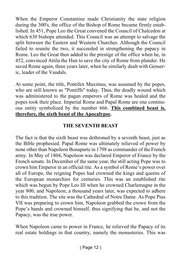When the Emperor Constantine made Christianity the state religion during the 300's, the office of the Bishop of Rome became firmly established. In 451, Pope Leo the Great convened the Council of Chalcedon at which 630 bishops attended. This Council was an attempt to salvage the split between the Eastern and Western Churches. Although the Council failed to reunite the two, it succeeded in strengthening the papacy in Rome. Leo the Great then added to the prestige of the office when he, in 452, convinced Attila the Hun to save the city of Rome from plunder. He saved Rome again, three years later, when he similarly dealt with Genseric, leader of the Vandals.

At some point, the title, Pontifex Maximus, was assumed by the popes, who are still known as "Pontiffs" today. Thus, the deadly wound which was administered to the pagan emperors of Rome was healed and the popes took their place. Imperial Rome and Papal Rome are one continuous entity symbolized by the number 666. **This combined beast is, therefore, the sixth beast of the Apocalypse.**

#### **THE SEVENTH BEAST**

The fact is that the sixth beast was dethroned by a seventh beast, just as the Bible prophesied. Papal Rome was ultimately relieved of power by none other than Napoleon Bonaparte in 1798 as commander of the French army. In May of 1804, Napoleon was declared Emperor of France by the French senate. In December of the same year, the still acting Pope was to crown him Emperor in an official rite. As a symbol of Rome's power over all of Europe, the reigning Popes had crowned the kings and queens of the European monarchies for centuries. This was an established rite which was begun by Pope Leo III when he crowned Charlemagne in the year 800; and Napoleon, a thousand years later, was expected to adhere to this tradition. The site was the Cathedral of Notre Dame. As Pope Pius VII was preparing to crown him, Napoleon grabbed the crown from the Pope's hands and crowned himself, thus signifying that he, and not the Papacy, was the true power.

When Napoleon came to power in France, he relieved the Papacy of its real estate holdings in that country, namely the monasteries. This was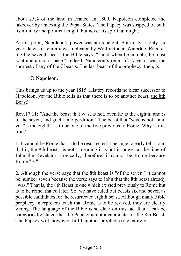about 25% of the land in France. In 1809, Napoleon completed the takeover by annexing the Papal States. The Papacy was stripped of both its military and political might, but never its spiritual might.

At this point, Napoleon's power was at its height. But in 1815, only six years later, his empire was defeated by Wellington at Waterloo. Regarding the seventh beast, the Bible says: "...and when he cometh, he must continue a short space." Indeed, Napoleon's reign of 17 years was the shortest of any of the 7 beasts. The last beast of the prophecy, then, is

#### **7: Napoleon.**

This brings us up to the year 1815. History records no clear successor to Napoleon, yet the Bible tells us that there is to be another beast, the 8th Beast!

Rev.17:11: "And the beast that was, is not, even he is the eighth, and is of the seven, and goeth into perdition." The beast that "was, is not," and yet "is the eighth" is to be one of the five previous to Rome. Why is this true?

1. It cannot be Rome that is to be resurrected. The angel clearly tells John that it, the 8th beast, "is not," meaning it is not in power at the time of John the Revelator. Logically, therefore, it cannot be Rome because Rome "is."

2. Although the verse says that the 8th beast is "of the seven," it cannot be number seven because the verse says to John that the 8th beast already "was." That is, the 8th Beast is one which existed previously to Rome but is to be reincarnated later. So, we have ruled out beasts six and seven as possible candidates for the resurrected eighth beast. Although many Bible prophecy interpreters teach that Rome is to be revived, they are clearly wrong. The language of the Bible is so clear on this fact that it can be categorically stated that the Papacy is not a candidate for the 8th Beast. The Papacy will, however, fulfil another prophetic role entirely.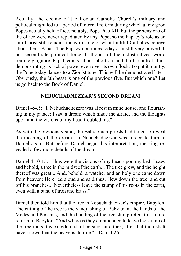Actually, the decline of the Roman Catholic Church's military and political might led to a period of internal reform during which a few good Popes actually held office, notably, Pope Pius XII; but the pretensions of the office were never repudiated by any Pope, so the Papacy's role as an anti-Christ still remains today in spite of what faithful Catholics believe about their "Papa". The Papacy continues today as a still very powerful, but second-rate political force. Catholics of the industrialized world routinely ignore Papal edicts about abortion and birth control, thus demonstrating its lack of power even over its own flock. To put it bluntly, the Pope today dances to a Zionist tune. This will be demonstrated later. Obviously, the 8th beast is one of the previous five. But which one? Let us go back to the Book of Daniel.

#### **NEBUCHADNEZZAR'S SECOND DREAM**

Daniel 4:4,5: "I, Nebuchadnezzar was at rest in mine house, and flourishing in my palace: I saw a dream which made me afraid, and the thoughts upon and the visions of my head troubled me."

As with the previous vision, the Babylonian priests had failed to reveal the meaning of the dream, so Nebuchadnezzar was forced to turn to Daniel again. But before Daniel began his interpretation, the king revealed a few more details of the dream.

Daniel 4:10-15: "Thus were the visions of my head upon my bed; I saw, and behold, a tree in the midst of the earth... The tree grew, and the height thereof was great... And, behold, a watcher and an holy one came down from heaven; He cried aloud and said thus, Hew down the tree, and cut off his branches... Nevertheless leave the stump of his roots in the earth, even with a band of iron and brass."

Daniel then told him that the tree is Nebuchadnezzar's empire, Babylon. The cutting of the tree is the vanquishing of Babylon at the hands of the Medes and Persians, and the banding of the tree stump refers to a future rebirth of Babylon. "And whereas they commanded to leave the stump of the tree roots, thy kingdom shall be sure unto thee, after that thou shalt have known that the heavens do rule." - Dan.  $4.26$ .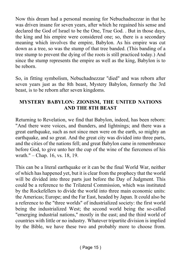Now this dream had a personal meaning for Nebuchadnezzar in that he was driven insane for seven years, after which he regained his sense and declared the God of Israel to be the One, True God. . But in those days, the king and his empire were considered one; so, there is a secondary meaning which involves the empire, Babylon. As his empire was cut down as a tree, so was the stump of that tree banded. (This banding of a tree stump to prevent the dying of the roots is still practiced today.) And since the stump represents the empire as well as the king, Babylon is to be reborn.

So, in fitting symbolism, Nebuchadnezzar "died" and was reborn after seven years just as the 8th beast, Mystery Babylon, formerly the 3rd beast, is to be reborn after seven kingdoms.

#### **MYSTERY BABYLON: ZIONISM, THE UNITED NATIONS AND THE 8TH BEAST**

Returning to Revelation, we find that Babylon, indeed, has been reborn: "And there were voices, and thunders, and lightnings; and there was a great earthquake, such as not since men were on the earth, so mighty an earthquake, and so great. And the great city was divided into three parts, and the cities of the nations fell; and great Babylon came in remembrance before God, to give unto her the cup of the wine of the fierceness of his wrath." – Chap. 16, vs. 18, 19.

This can be a literal earthquake or it can be the final World War, neither of which has happened yet, but it is clear from the prophecy that the world will be divided into three parts just before the Day of Judgment. This could be a reference to the Trilateral Commission, which was instituted by the Rockefellers to divide the world into three main economic units: the Americas; Europe; and the Far East, headed by Japan. It could also be a reference to the "three worlds" of industrialized society: the first world being the industrialized West; the second world being the so-called "emerging industrial nations," mostly in the east; and the third world of countries with little or no industry. Whatever tripartite division is implied by the Bible, we have these two and probably more to choose from.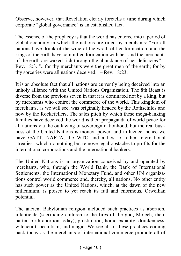Observe, however, that Revelation clearly foretells a time during which corporate "global governance" is an established fact.

The essence of the prophecy is that the world has entered into a period of global economy in which the nations are ruled by merchants: "For all nations have drunk of the wine of the wrath of her fornication, and the kings of the earth have committed fornication with her, and the merchants of the earth are waxed rich through the abundance of her delicacies." – Rev. 18:3. "...for thy merchants were the great men of the earth; for by thy sorceries were all nations deceived." – Rev. 18:23.

It is an absolute fact that all nations are currently being deceived into an unholy alliance with the United Nations Organization. The 8th Beast is diverse from the previous seven in that it is dominated not by a king, but by merchants who control the commerce of the world. This kingdom of merchants, as we will see, was originally headed by the Rothschilds and now by the Rockefellers. The sales pitch by which these mega-banking families have deceived the world is their propaganda of world peace for all nations via the outlawing of sovereign nationhood, but the real business of the United Nations is money, power, and influence, hence we have GATT, NAFTA, the WTO and a host of other international "treaties" which do nothing but remove legal obstacles to profits for the international corporations and the international bankers.

The United Nations is an organization conceived by and operated by merchants, who, through the World Bank, the Bank of International Settlements, the International Monetary Fund, and other UN organizations control world commerce and, thereby, all nations. No other entity has such power as the United Nations, which, at the dawn of the new millennium, is poised to yet reach its full and enormous, Orwellian potential.

The ancient Babylonian religion included such practices as abortion, infanticide (sacrificing children to the fires of the god, Molech, then; partial birth abortion today), prostitution, homosexuality, drunkenness, witchcraft, occultism, and magic. We see all of these practices coming back today as the merchants of international commerce promote all of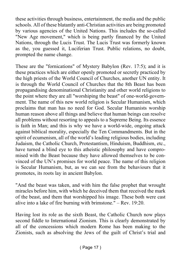these activities through business, entertainment, the media and the public schools. All of these blatantly anti-Christian activities are being promoted by various agencies of the United Nations. This includes the so-called "New Age movement," which is being partly financed by the United Nations, through the Lucis Trust. The Lucis Trust was formerly known as the, you guessed it, Luciferian Trust. Public relations, no doubt, prompted the name change.

These are the "fornications" of Mystery Babylon (Rev. 17:5); and it is these practices which are either openly promoted or secretly practiced by the high priests of the World Council of Churches, another UN entity. It is through the World Council of Churches that the 8th Beast has been propagandising denominational Christianity and other world religions to the point where they are all "worshiping the beast" of one-world-government. The name of this new world religion is Secular Humanism, which proclaims that man has no need for God. Secular Humanists worship human reason above all things and believe that human beings can resolve all problems without resorting to appeals to a Supreme Being. Its essence is faith in Man; and this is why we have a world-wide, ongoing attack against biblical morality, especially the Ten Commandments. But in the spirit of ecumenism, all of the world's leading religious bodies, including Judaism, the Catholic Church, Protestantism, Hinduism, Buddhism, etc., have turned a blind eye to this atheistic philosophy and have compromised with the Beast because they have allowed themselves to be convinced of the UN's promises for world peace. The name of this religion is Secular Humanism, but, as we can see from the behaviours that it promotes, its roots lay in ancient Babylon.

"And the beast was taken, and with him the false prophet that wrought miracles before him, with which he deceived them that received the mark of the beast, and them that worshipped his image. These both were cast alive into a lake of fire burning with brimstone." – Rev. 19:20.

Having lost its role as the sixth Beast, the Catholic Church now plays second fiddle to International Zionism. This is clearly demonstrated by all of the concessions which modern Rome has been making to the Zionists, such as absolving the Jews of the guilt of Christ's trial and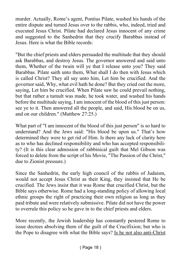murder. Actually, Rome's agent, Pontius Pilate, washed his hands of the entire dispute and turned Jesus over to the rabbis, who, indeed, tried and executed Jesus Christ. Pilate had declared Jesus innocent of any crime and suggested to the Sanhedrin that they crucify Barabbas instead of Jesus. Here is what the Bible records:

"But the chief priests and elders persuaded the multitude that they should ask Barabbas, and destroy Jesus. The governor answered and said unto them, Whether of the twain will ye that I release unto you? They said Barabbas. Pilate saith unto them, What shall I do then with Jesus which is called Christ? They all say unto him, Let him be crucified. And the governor said, Why, what evil hath he done? But they cried out the more, saying, Let him be crucified. When Pilate saw he could prevail nothing, but that rather a tumult was made, he took water, and washed his hands before the multitude saying, I am innocent of the blood of this just person: see ye to it. Then answered all the people, and said, His blood be on us, and on our children." (Matthew 27:25.)

What part of "I am innocent of the blood of this just person" is so hard to understand? And the Jews said: "His blood be upon us." That's how determined they were to get rid of Him. Is there any lack of clarity here as to who has declined responsibility and who has accepted responsibility? (It is this clear admission of rabbinical guilt that Mel Gibson was forced to delete from the script of his Movie, "The Passion of the Christ," due to Zionist pressure.)

Since the Sanhedrin, the early high council of the rabbis of Judaism, would not accept Jesus Christ as their King, they insisted that He be crucified. The Jews insist that it was Rome that crucified Christ, but the Bible says otherwise. Rome had a long-standing policy of allowing local ethnic groups the right of practicing their own religion as long as they paid tribute and were relatively submissive. Pilate did not have the power to overrule this policy so he gave in to the chief priests and elders.

More recently, the Jewish leadership has constantly pestered Rome to issue decrees absolving them of the guilt of the Crucifixion; but who is the Pope to disagree with what the Bible says? Is he not also anti-Christ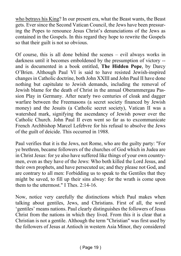who betrays his King? In our present era, what the Beast wants, the Beast gets. Ever since the Second Vatican Council, the Jews have been pressuring the Popes to renounce Jesus Christ's denunciations of the Jews as contained in the Gospels. In this regard they hope to rewrite the Gospels so that their guilt is not so obvious.

Of course, this is all done behind the scenes – evil always works in darkness until it becomes emboldened by the presumption of victory - and is documented in a book entitled, **The Hidden Pope**, by Darcy O'Brien. Although Paul VI is said to have resisted Jewish-inspired changes in Catholic doctrine, both John XXIII and John Paul II have done nothing but capitulate to Jewish demands, including the removal of Jewish blame for the death of Christ in the annual Oberammergau Passion Play in Germany. After nearly two centuries of cloak and dagger warfare between the Freemasons (a secret society financed by Jewish money) and the Jesuits (a Catholic secret society), Vatican II was a watershed mark, signifying the ascendancy of Jewish power over the Catholic Church. John Paul II even went so far as to excommunicate French Archbishop Marcel Lefebvre for his refusal to absolve the Jews of the guilt of deicide. This occurred in 1988.

Paul verifies that it is the Jews, not Rome, who are the guilty party: "For ye brethren, became followers of the churches of God which in Judea are in Christ Jesus: for ye also have suffered like things of your own countrymen, even as they have of the Jews: Who both killed the Lord Jesus, and their own prophets, and have persecuted us; and they please not God, and are contrary to all men: Forbidding us to speak to the Gentiles that they might be saved, to fill up their sins alway: for the wrath is come upon them to the uttermost." I Thes. 2:14-16.

Now, notice very carefully the distinctions which Paul makes when talking about gentiles, Jews, and Christians. First of all, the word 'gentiles' means nations. Paul clearly distinguishes the followers of Jesus Christ from the nations in which they lived. From this it is clear that a Christian is not a gentile. Although the term "Christian" was first used by the followers of Jesus at Antioch in western Asia Minor, they considered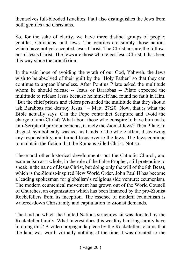themselves full-blooded Israelites. Paul also distinguishes the Jews from both gentiles and Christians.

So, for the sake of clarity, we have three distinct groups of people: gentiles, Christians, and Jews. The gentiles are simply those nations which have not yet accepted Jesus Christ. The Christians are the followers of Jesus Christ. The Jews are those who reject Jesus Christ. It has been this way since the crucifixion.

In the vain hope of avoiding the wrath of our God, Yahweh, the Jews wish to be absolved of their guilt by the "Holy Father" so that they can continue to appear blameless. After Pontius Pilate asked the multitude whom he should release -- Jesus or Barabbas -- Pilate expected the multitude to release Jesus because he himself had found no fault in Him. "But the chief priests and elders persuaded the multitude that they should ask Barabbas and destroy Jesus." – Matt. 27:20. Now, that is what the Bible actually says. Can the Pope contradict Scripture and avoid the charge of anti-Christ? What about those who conspire to have him make anti-Scriptural pronouncements, namely the Zionist Jews? Then Pilate, in disgust, symbolically washed his hands of the whole affair, disavowing any responsibility, and turned Jesus over to the Jews. The Jews continue to maintain the fiction that the Romans killed Christ. Not so.

These and other historical developments put the Catholic Church, and ecumenism as a whole, in the role of the False Prophet, still pretending to speak in the name of Jesus Christ, but doing only the will of the 8th Beast, which is the Zionist-inspired New World Order. John Paul II has become a leading spokesman for globalism's religious side venture: ecumenism. The modern ecumenical movement has grown out of the World Council of Churches, an organization which has been financed by the pro-Zionist Rockefellers from its inception. The essence of modern ecumenism is watered-down Christianity and capitulation to Zionist demands.

The land on which the United Nations structures sit was donated by the Rockefeller family. What interest does this wealthy banking family have in doing this? A video propaganda piece by the Rockefellers claims that the land was worth virtually nothing at the time it was donated to the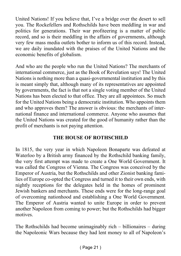United Nations! If you believe that, I've a bridge over the desert to sell you. The Rockefellers and Rothschilds have been meddling in war and politics for generations. Their war profiteering is a matter of public record, and so is their meddling in the affairs of governments, although very few mass media outlets bother to inform us of this record. Instead, we are daily inundated with the praises of the United Nations and the economic benefits of globalism.

And who are the people who run the United Nations? The merchants of international commerce, just as the Book of Revelation says! The United Nations is nothing more than a quasi-governmental institution and by this is meant simply that, although many of its representatives are appointed by governments, the fact is that not a single voting member of the United Nations has been elected to that office. They are all appointees. So much for the United Nations being a democratic institution. Who appoints them and who approves them? The answer is obvious: the merchants of international finance and international commerce. Anyone who assumes that the United Nations was created for the good of humanity rather than the profit of merchants is not paying attention.

#### **THE HOUSE OF ROTHSCHILD**

In 1815, the very year in which Napoleon Bonaparte was defeated at Waterloo by a British army financed by the Rothschild banking family, the very first attempt was made to create a One World Government. It was called the Congress of Vienna. The Congress was conceived by the Emperor of Austria, but the Rothschilds and other Zionist banking families of Europe co-opted the Congress and turned it to their own ends, with nightly receptions for the delegates held in the homes of prominent Jewish bankers and merchants. These ends were for the long-range goal of overcoming nationhood and establishing a One World Government. The Emperor of Austria wanted to unite Europe in order to prevent another Napoleon from coming to power; but the Rothschilds had bigger motives.

The Rothschilds had become unimaginably rich – billionaires – during the Napoleonic Wars because they had lent money to all of Napoleon's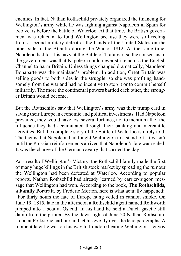enemies. In fact, Nathan Rothschild privately organized the financing for Wellington's army while he was fighting against Napoleon in Spain for two years before the battle of Waterloo. At that time, the British government was reluctant to fund Wellington because they were still reeling from a second military defeat at the hands of the United States on the other side of the Atlantic during the War of 1812. At the same time, Napoleon had lost his navy at the Battle of Trafalgar, so the consensus in the government was that Napoleon could never strike across the English Channel to harm Britain. Unless things changed dramatically, Napoleon Bonaparte was the mainland's problem. In addition, Great Britain was selling goods to both sides in the struggle, so she was profiting handsomely from the war and had no incentive to stop it or to commit herself militarily. The more the continental powers battled each other, the stronger Britain would become.

But the Rothschilds saw that Wellington's army was their trump card in saving their European economic and political investments. Had Napoleon prevailed, they would have lost several fortunes, not to mention all of the influence they had accumulated through their banking and mercantile activities. But the complete story of the Battle of Waterloo is rarely told. The fact is that Napoleon had fought Wellington to a stand-off. It wasn't until the Prussian reinforcements arrived that Napoleon's fate was sealed. It was the charge of the German cavalry that carried the day!

As a result of Wellington's Victory, the Rothschild family made the first of many huge killings in the British stock market by spreading the rumour the Wellington had been defeated at Waterloo. According to popular reports, Nathan Rothschild had already learned by carrier-pigeon message that Wellington had won. According to the book**, The Rothschilds, a Family Portrait**, by Frederic Morton, here is what actually happened: "For thirty hours the fate of Europe hung veiled in cannon smoke. On June 19, 1815, late in the afternoon a Rothschild agent named Rothworth jumped into a boat at Ostend. In his hand he held a Dutch gazette still damp from the printer. By the dawn light of June 20 Nathan Rothschild stood at Folkstone harbour and let his eye fly over the lead paragraphs. A moment later he was on his way to London (beating Wellington's envoy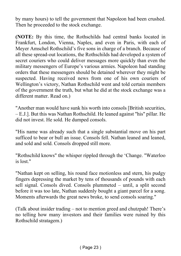by many hours) to tell the government that Napoleon had been crushed. Then he proceeded to the stock exchange.

**(NOTE:** By this time, the Rothschilds had central banks located in Frankfurt, London, Vienna, Naples, and even in Paris, with each of Meyer Amschel Rothschild's five sons in charge of a branch. Because of all these spread-out locations, the Rothschilds had developed a system of secret couriers who could deliver messages more quickly than even the military messengers of Europe's various armies. Napoleon had standing orders that these messengers should be detained wherever they might be suspected. Having received news from one of his own couriers of Wellington's victory, Nathan Rothschild went and told certain members of the government the truth, but what he did at the stock exchange was a different matter. Read on.)

"Another man would have sunk his worth into consols [British securities, – E.J.]. But this was Nathan Rothschild. He leaned against "his" pillar. He did not invest. He sold. He dumped consols.

"His name was already such that a single substantial move on his part sufficed to bear or bull an issue. Consols fell. Nathan leaned and leaned, and sold and sold. Consols dropped still more.

"Rothschild knows" the whisper rippled through the 'Change. "Waterloo is lost."

"Nathan kept on selling, his round face motionless and stern, his pudgy fingers depressing the market by tens of thousands of pounds with each sell signal. Consols dived. Consols plummeted – until, a split second before it was too late, Nathan suddenly bought a giant parcel for a song. Moments afterwards the great news broke, to send consols soaring."

(Talk about insider trading – not to mention greed and chutzpah! There's no telling how many investors and their families were ruined by this Rothschild stratagem.)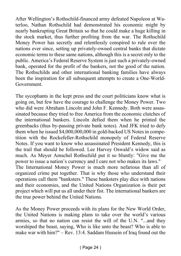After Wellington's Rothschild-financed army defeated Napoleon at Waterloo, Nathan Rothschild had demonstrated his economic might by nearly bankrupting Great Britain so that he could make a huge killing in the stock market, thus further profiting from the war. The Rothschild Money Power has secretly and relentlessly conspired to rule over the nations ever since, setting up privately-owned central banks that dictate economic terms to these same nations, although this is a secret only to the public. America's Federal Reserve System is just such a privately-owned bank, operated for the profit of the bankers, not the good of the nation. The Rothschilds and other international banking families have always been the inspiration for all subsequent attempts to create a One-World-Government.

The sycophants in the kept press and the court politicians know what is going on, but few have the courage to challenge the Money Power. Two who did were Abraham Lincoln and John F. Kennedy. Both were assassinated because they tried to free America from the economic clutches of the international bankers. Lincoln defied them when he printed the greenbacks (thus by-passing private bank notes). And JFK tried to defy them when he issued \$4,000,000,000 in gold-backed US Notes in competition with the Rockefeller-Rothschild monopoly of Federal Reserve Notes. If you want to know who assassinated President Kennedy, this is the trail that should be followed. Lee Harvey Oswald's widow said as much. As Meyer Amschel Rothschild put it so bluntly: "Give me the power to issue a nation's currency and I care not who makes its laws." The International Money Power is much more nefarious than all of organized crime put together. That is why those who understand their operations call them "banksters." These banksters play dice with nations and their economies, and the United Nations Organization is their pet project which will put us all under their fist. The international bankers are the true power behind the United Nations.

As the Money Power proceeds with its plans for the New World Order, the United Nations is making plans to take over the world's various armies, so that no nation can resist the will of the U.N. "...and they worshiped the beast, saying, Who is like unto the beast? Who is able to make war with him?" – Rev. 13:4. Saddam Hussein of Iraq found out the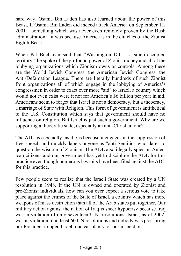hard way. Osama Bin Laden has also learned about the power of this Beast. If Osama Bin Laden did indeed attack America on September 11, 2001 – something which was never even remotely proven by the Bush administration – it was because America is in the clutches of the Zionist Eighth Beast.

When Pat Buchanan said that "Washington D.C. is Israeli-occupied territory," he spoke of the profound power of Zionist money and all of the lobbying organizations which Zionism owns or controls. Among these are the World Jewish Congress, the American Jewish Congress, the Anti-Defamation League. There are literally hundreds of such Zionist front organizations all of which engage in the lobbying of America's congressmen in order to exact ever more "aid" to Israel, a country which would not even exist were it not for America's \$6 billion per year in aid. Americans seem to forget that Israel is not a democracy, but a theocracy, a marriage of State with Religion. This form of government is antithetical to the U.S. Constitution which says that government should have no influence on religion. But Israel is just such a government. Why are we supporting a theocratic state, especially an anti-Christian one?

The ADL is especially insidious because it engages in the suppression of free speech and quickly labels anyone as "anti-Semitic" who dares to question the wisdom of Zionism. The ADL also illegally spies on American citizens and our government has yet to discipline the ADL for this practice even though numerous lawsuits have been filed against the ADL for this practice.

Few people seem to realize that the Israeli State was created by a UN resolution in 1948. If the UN is owned and operated by Zionist and pro-Zionist individuals, how can you ever expect a serious vote to take place against the crimes of the State of Israel, a country which has more weapons of mass destruction than all of the Arab states put together. Our military action against the nation of Iraq is sheer hypocrisy because Iraq was in violation of only seventeen U.N. resolutions. Israel, as of 2002, was in violation of at least 60 UN resolutions and nobody was pressuring our President to open Israeli nuclear plants for our inspection.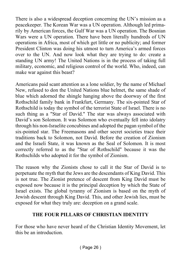There is also a widespread deception concerning the UN's mission as a peacekeeper. The Korean War was a UN operation. Although led primarily by American forces, the Gulf War was a UN operation. The Bosnian Wars were a UN operation. There have been literally hundreds of UN operations in Africa, most of which get little or no publicity; and former President Clinton was doing his utmost to turn America's armed forces over to the UN. And now look what they are trying to do: create a standing UN army! The United Nations is in the process of taking full military, economic, and religious control of the world. Who, indeed, can make war against this beast?

Americans paid scant attention as a lone soldier, by the name of Michael New, refused to don the United Nations blue helmet, the same shade of blue which adorned the shingle hanging above the doorway of the first Rothschild family bank in Frankfurt, Germany. The six-pointed Star of Rothschild is today the symbol of the terrorist State of Israel. There is no such thing as a "Star of David." The star was always associated with David's son Solomon. It was Solomon who eventually fell into idolatry through his non-Israelite concubines and adopted the pagan symbol of the six-pointed star. The Freemasons and other secret societies trace their traditions back to Solomon, not David. Before the creation of Zionism and the Israeli State, it was known as the Seal of Solomon. It is most correctly referred to as the "Star of Rothschild" because it was the Rothschilds who adopted it for the symbol of Zionism.

The reason why the Zionists chose to call it the Star of David is to perpetuate the myth that the Jews are the descendants of King David. This is not true. The Zionist pretence of descent from King David must be exposed now because it is the principal deception by which the State of Israel exists. The global tyranny of Zionism is based on the myth of Jewish descent through King David. This, and other Jewish lies, must be exposed for what they truly are: deception on a grand scale.

#### **THE FOUR PILLARS OF CHRISTIAN IDENTITY**

For those who have never heard of the Christian Identity Movement, let this be an introduction.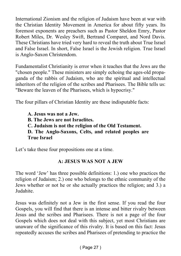International Zionism and the religion of Judaism have been at war with the Christian Identity Movement in America for about fifty years. Its foremost exponents are preachers such as Pastor Sheldon Emry, Pastor Robert Miles, Dr. Wesley Swift, Bertrand Comparet, and Nord Davis. These Christians have tried very hard to reveal the truth about True Israel and False Israel. In short, False Israel is the Jewish religion. True Israel is Anglo-Saxon Christendom.

Fundamentalist Christianity is error when it teaches that the Jews are the "chosen people." These ministers are simply echoing the ages-old propaganda of the rabbis of Judaism, who are the spiritual and intellectual inheritors of the religion of the scribes and Pharisees. The Bible tells us: "Beware the leaven of the Pharisees, which is hypocrisy."

The four pillars of Christian Identity are these indisputable facts:

**A. Jesus was not a Jew. B. The Jews are not Israelites. C. Judaism is not the religion of the Old Testament. D. The Anglo-Saxons, Celts, and related peoples are True Israel**

Let's take these four propositions one at a time.

#### **A: JESUS WAS NOT A JEW**

The word 'Jew' has three possible definitions: 1.) one who practices the religion of Judaism; 2.) one who belongs to the ethnic community of the Jews whether or not he or she actually practices the religion; and 3.) a Judahite.

Jesus was definitely not a Jew in the first sense. If you read the four Gospels, you will find that there is an intense and bitter rivalry between Jesus and the scribes and Pharisees. There is not a page of the four Gospels which does not deal with this subject, yet most Christians are unaware of the significance of this rivalry. It is based on this fact: Jesus repeatedly accuses the scribes and Pharisees of pretending to practice the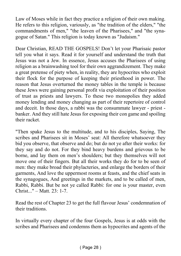Law of Moses while in fact they practice a religion of their own making. He refers to this religion, variously, as "the tradition of the elders," "the commandments of men," "the leaven of the Pharisees," and "the synagogue of Satan." This religion is today known as "Judaism."

Dear Christian, READ THE GOSPELS! Don't let your Pharisaic pastor tell you what it says. Read it for yourself and understand the truth that Jesus was not a Jew. In essence, Jesus accuses the Pharisees of using religion as a brainwashing tool for their own aggrandizement. They make a great pretense of piety when, in reality, they are hypocrites who exploit their flock for the purpose of keeping their priesthood in power. The reason that Jesus overturned the money tables in the temple is because these Jews were gaining personal profit via exploitation of their position of trust as priests and lawyers. To these two monopolies they added money lending and money changing as part of their repertoire of control and deceit. In those days, a rabbi was the consummate lawyer - priest banker. And they still hate Jesus for exposing their con game and spoiling their racket.

"Then spake Jesus to the multitude, and to his disciples, Saying, The scribes and Pharisees sit in Moses' seat: All therefore whatsoever they bid you observe, that observe and do; but do not ye after their works: for they say and do not. For they bind heavy burdens and grievous to be borne, and lay them on men's shoulders; but they themselves will not move one of their fingers. But all their works they do for to be seen of men: they make broad their phylacteries, and enlarge the borders of their garments, And love the uppermost rooms at feasts, and the chief seats in the synagogues, And greetings in the markets, and to be called of men, Rabbi, Rabbi. But be not ye called Rabbi: for one is your master, even Christ..." – Matt. 23: 1-7.

Read the rest of Chapter 23 to get the full flavour Jesus' condemnation of their traditions.

In virtually every chapter of the four Gospels, Jesus is at odds with the scribes and Pharisees and condemns them as hypocrites and agents of the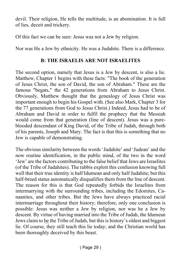devil. Their religion, He tells the multitude, is an abomination. It is full of lies, deceit and trickery.

Of this fact we can be sure: Jesus was not a Jew by religion.

Nor was He a Jew by ethnicity. He was a Judahite. There is a difference.

#### **B: THE ISRAELIS ARE NOT ISRAELITES**

The second option, namely that Jesus is a Jew by descent, is also a lie. Matthew, Chapter 1 begins with these facts: "The book of the generation of Jesus Christ, the son of David, the son of Abraham." These are the famous "begats," the 42 generations from Abraham to Jesus Christ. Obviously, Matthew thought that the genealogy of Jesus Christ was important enough to begin his Gospel with. (See also Mark, Chapter 3 for the 77 generations from God to Jesus Christ.) Indeed, Jesus had to be of Abraham and David in order to fulfil the prophecy that the Messiah would come from that generation (line of descent). Jesus was a pureblooded descendant of King David, of the Tribe of Judah, through both of his parents, Joseph and Mary. The fact is that this is something that no Jew is capable of demonstrating.

The obvious similarity between the words 'Judahite' and 'Judean' and the now routine identification, in the public mind, of the two in the word 'Jew' are the factors contributing to the false belief that Jews are Israelites (of the Tribe of Judahites). The rabbis exploit this confusion knowing full well that their true identity is half Idumean and only half Judahite; but this half-breed status automatically disqualifies them from the line of descent. The reason for this is that God repeatedly forbids the Israelites from intermarrying with the surrounding tribes, including the Edomites, Canaanites, and other tribes. But the Jews have always practiced racial intermarriage throughout their history; therefore, only one conclusion is possible: Jesus was neither a Jew by religion, nor was he a Jew by descent. By virtue of having married into the Tribe of Judah, the Idumean Jews claim to be the Tribe of Judah, but this is history's oldest and biggest lie. Of course, they still teach this lie today; and the Christian world has been thoroughly deceived by this beast.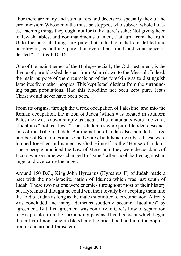"For there are many and vain talkers and deceivers, specially they of the circumcision: Whose mouths must be stopped, who subvert whole houses, teaching things they ought not for filthy lucre's sake; Not giving heed to Jewish fables, and commandments of men, that turn from the truth. Unto the pure all things are pure; but unto them that are defiled and unbelieving is nothing pure; but even their mind and conscience is defiled." – Titus  $1:10-16$ .

One of the main themes of the Bible, especially the Old Testament, is the theme of pure-blooded descent from Adam down to the Messiah. Indeed, the main purpose of the circumcision of the foreskin was to distinguish Israelites from other peoples. This kept Israel distinct from the surrounding pagan populations. Had this bloodline not been kept pure, Jesus Christ would never have been born.

From its origins, through the Greek occupation of Palestine, and into the Roman occupation, the nation of Judea (which was located in southern Palestine) was known simply as Judah. The inhabitants were known as "Judahites," not as "Jews." These Judahites were pure-blooded descendants of the Tribe of Judah. But the nation of Judah also included a large number of Benjamites and some Levites, both Israelite tribes. These were lumped together and named by God Himself as the "House of Judah." These people practiced the Law of Moses and they were descendants of Jacob, whose name was changed to "Israel" after Jacob battled against an angel and overcame the angel.

Around 150 B.C., King John Hyrcanus (Hyrcanus II) of Judah made a pact with the non-Israelite nation of Idumea which was just south of Judah. These two nations were enemies throughout most of their history but Hyrcanus II thought he could win their loyalty by accepting them into the fold of Judah as long as the males submitted to circumcision. A treaty was concluded and many Idumeans suddenly became "Judahites" by agreement. But this agreement was contrary to God's Law of separation of His people from the surrounding pagans. It is this event which began the influx of non-Israelite blood into the priesthood and into the population in and around Jerusalem.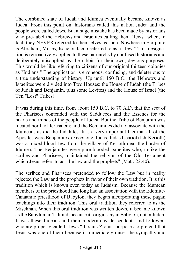The combined state of Judah and Idumea eventually became known as Judea. From this point on, historians called this nation Judea and the people were called Jews. But a huge mistake has been made by historians who pre-label the Hebrews and Israelites calling them "Jews" when, in fact, they NEVER referred to themselves as such. Nowhere in Scripture is Abraham, Moses, Isaac or Jacob referred to as a "Jew." This designation is retroactively applied to these patriarchs by confused historians and deliberately misapplied by the rabbis for their own, devious purposes. This would be like referring to citizens of our original thirteen colonies as "Indians." The application is erroneous, confusing, and deleterious to a true understanding of history. Up until 150 B.C., the Hebrews and Israelites were divided into Two Houses: the House of Judah (the Tribes of Judah and Benjamin, plus some Levites) and the House of Israel (the Ten "Lost" Tribes).

It was during this time, from about 150 B.C. to 70 A.D, that the sect of the Pharisees contended with the Sadducees and the Essenes for the hearts and minds of the people of Judea. But the Tribe of Benjamin was located north of Jerusalem; and the Benjamites did not associate with the Idumeans as did the Judahites. It is a very important fact that all of the Apostles were Benjamites, except one, Judas. Judas Iscariot (Ish-Kerioth) was a mixed-blood Jew from the village of Kerioth near the border of Idumea. The Benjamites were pure-blooded Israelites who, unlike the scribes and Pharisees, maintained the religion of the Old Testament which Jesus refers to as "the law and the prophets" (Matt. 22:40).

The scribes and Pharisees pretended to follow the Law but in reality rejected the Law and the prophets in favor of their own tradition. It is this tradition which is known even today as Judaism. Because the Idumean members of the priesthood had long had an association with the Edomite-Canaanite priesthood of Babylon, they began incorporating these pagan teachings into their tradition. This oral tradition they referred to as the Mischnah. When this oral tradition was written down, it became known as the Babylonian Talmud, because its origins lay in Babylon, not in Judah. It was these Judeans and their modern-day descendants and followers who are properly called "Jews." It suits Zionist purposes to pretend that Jesus was one of them because it immediately raises the sympathy and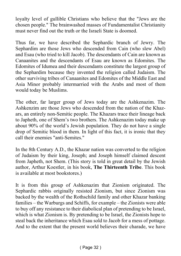loyalty level of gullible Christians who believe that the "Jews are the chosen people." The brainwashed masses of Fundamentalist Christianity must never find out the truth or the Israeli State is doomed.

Thus far, we have described the Sephardic branch of Jewry. The Sephardim are those Jews who descended from Cain (who slew Abel) and Esau (who tried to kill Jacob). The descendants of Cain are known as Canaanites and the descendants of Esau are known as Edomites. The Edomites of Idumea and their descendants constitute the largest group of the Sephardim because they invented the religion called Judaism. The other surviving tribes of Canaanites and Edomites of the Middle East and Asia Minor probably intermarried with the Arabs and most of them would today be Muslims.

The other, far larger group of Jews today are the Ashkenazim. The Ashkenzim are those Jews who descended from the nation of the Khazars, an entirely non-Semitic people. The Khazars trace their lineage back to Japheth, one of Shem's two brothers. The Ashkenazim today make up about 90% of the world's Jewish population. They do not have a single drop of Semitic blood in them. In light of this fact, it is ironic that they call their enemies "anti-Semites."

In the 8th Century A.D., the Khazar nation was converted to the religion of Judaism by their king, Joseph; and Joseph himself claimed descent from Japheth, not Shem. (This story is told in great detail by the Jewish author, Arthur Koestler, in his book, **The Thirteenth Tribe**. This book is available at most bookstores.)

It is from this group of Ashkenazim that Zionism originated. The Sephardic rabbis originally resisted Zionism, but since Zionism was backed by the wealth of the Rothschild family and other Khazar banking families – the Warburgs and Schiffs, for example – the Zionists were able to buy off any resistance to their diabolical plan of pretending to be Israel, which is what Zionism is. By pretending to be Israel, the Zionists hope to steal back the inheritance which Esau sold to Jacob for a mess of pottage. And to the extent that the present world believes their charade, we have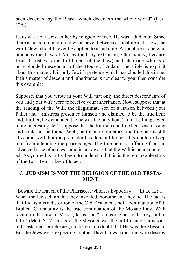been deceived by the Beast "which deceiveth the whole world" (Rev. 12:9).

Jesus was not a Jew, either by religion or race. He was a Judahite. Since there is no common ground whatsoever between a Judahite and a Jew, the word 'Jew' should never be applied to a Judahite. A Judahite is one who practices the Law of Moses (and, by extension, Christianity, because Jesus Christ was the fulfillment of the Law) and also one who is a pure-blooded descendant of the House of Judah. The Bible is explicit about this matter. It is only Jewish pretence which has clouded this issue. If this matter of descent and inheritance is not clear to you, then consider this example:

Suppose, that you wrote in your Will that only the direct descendants of you and your wife were to receive your inheritance. Now, suppose that at the reading of the Will, the illegitimate son of a liaison between your father and a mistress presented himself and claimed to be the true heir; and, further, he demanded the he was the only heir. To make things even more interesting, let's suppose that the true son and true heir was missing and could not be found. Well, pertinent to our story, the true heir is still alive and well, but the pretender has done all he possibly could to keep him from attending the proceedings. The true heir is suffering from an advanced case of amnesia and is not aware that the Will is being contested. As you will shortly begin to understand, this is the remarkable story of the Lost Ten Tribes of Israel.

#### **C: JUDAISM IS NOT THE RELIGION OF THE OLD TESTA-MENT**

"Beware the leaven of the Pharisees, which is hypocrisy." – Luke 12: 1. When the Jews claim that they invented monotheism, they lie. The fact is that Judaism is a distortion of the Old Testament, not a continuation of it. Biblical Christianity is the true continuation of the Mosaic Law. With regard to the Law of Moses, Jesus said "I am come not to destroy, but to fulfil" (Matt. 5:17). Jesus, as the Messiah, was the fulfilment of numerous old Testament prophecies, so there is no doubt that He was the Messiah. But the Jews were expecting another David, a warrior-king who destroy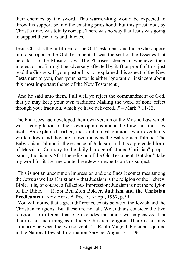their enemies by the sword. This warrior-king would be expected to throw his support behind the existing priesthood; but this priesthood, by Christ's time, was totally corrupt. There was no way that Jesus was going to support these liars and thieves.

Jesus Christ is the fulfilment of the Old Testament; and those who oppose him also oppose the Old Testament. It was the sect of the Essenes that held fast to the Mosaic Law. The Pharisees denied it whenever their interest or profit might be adversely affected by it. (For proof of this, just read the Gospels. If your pastor has not explained this aspect of the New Testament to you, then your pastor is either ignorant or insincere about this most important theme of the New Testament.)

"And he said unto them, Full well ye reject the commandment of God, that ye may keep your own tradition; Making the word of none effect through your tradition, which ye have delivered..." – Mark 7:11-13.

The Pharisees had developed their own version of the Mosaic Law which was a compilation of their own opinions about the Law, not the Law itself. As explained earlier, these rabbinical opinions were eventually written down and they are known today as the Babylonian Talmud. The Babylonian Talmud is the essence of Judaism, and it is a pretended form of Mosaism. Contrary to the daily barrage of "Judeo-Christian" propaganda, Judaism is NOT the religion of the Old Testament. But don't take my word for it. Let me quote three Jewish experts on this subject:

"This is not an uncommon impression and one finds it sometimes among the Jews as well as Christians – that Judaism is the religion of the Hebrew Bible. It is, of course, a fallacious impression; Judaism is not the religion of the Bible." – Rabbi Ben Zion Bokser, **Judaism and the Christian Predicament**. New York, Alfred A. Knopf, 1967, p.59.

"You will notice that a great difference exists between the Jewish and the Christian religions. But these are not all. We Judians consider the two religions so different that one excludes the other; we emphasized that there is no such thing as a Judeo-Christian religion; There is not any similarity between the two concepts." – Rabbi Maggal, President, quoted in the National Jewish Information Service, August 21, 1961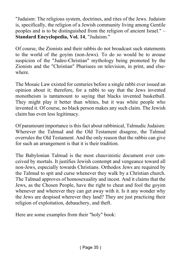"Judaism: The religious system, doctrines, and rites of the Jews. Judaism is, specifically, the religion of a Jewish community living among Gentile peoples and is to be distinguished from the religion of ancient Israel." – **Standard Encyclopedia, Vol. 14**, "Judaism."

Of course, the Zionists and their rabbis do not broadcast such statements to the world of the goyim (non-Jews). To do so would be to arouse suspicion of the "Judeo-Christian" mythology being promoted by the Zionists and the "Christian" Pharisees on television, in print, and elsewhere.

The Mosaic Law existed for centuries before a single rabbi ever issued an opinion about it; therefore, for a rabbi to say that the Jews invented monotheism is tantamount to saying that blacks invented basketball. They might play it better than whites, but it was white people who invented it. Of course, no black person makes any such claim. The Jewish claim has even less legitimacy.

Of paramount importance is this fact about rabbinical, Talmudic Judaism: Wherever the Talmud and the Old Testament disagree, the Talmud overrules the Old Testament. And the only reason that the rabbis can give for such an arrangement is that it is their tradition.

The Babylonian Talmud is the most chauvinistic document ever conceived by mortals. It justifies Jewish contempt and vengeance toward all non-Jews, especially towards Christians. Orthodox Jews are required by the Talmud to spit and curse whenever they walk by a Christian church. The Talmud approves of homosexuality and incest. And it claims that the Jews, as the Chosen People, have the right to cheat and fool the goyim whenever and wherever they can get away with it. Is it any wonder why the Jews are despised wherever they land? They are just practicing their religion of exploitation, debauchery, and theft.

Here are some examples from their "holy" book: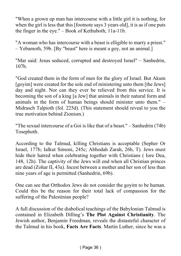"When a grown up man has intercourse with a little girl it is nothing, for when the girl is less that this [footnote says 3 years old], it is as if one puts the finger in the eye." – Book of Kethuboth, 11a-11b.

"A woman who has intercourse with a beast is elligible to marry a priest." – Yebamoth, 59b. [By "beast" here is meant a goy, not an animal.]

"Mar said: Jesus seduced, corrupted and destroyed Israel" – Sanhedrin, 107b.

"God created them in the form of men for the glory of Israel. But Akum [goyim] were created for the sole end of ministering unto them [the Jews] day and night. Nor can they ever be relieved from this service. It is becoming the son of a king [a Jew] that animals in their natural form and animals in the form of human beings should minister unto them." – Midrasch Talpioth (fol. 225d). (This statement should reveal to you the true motivation behind Zionism.)

"The sexual intercourse of a Goi is like that of a beast." – Sanhedrin (74b) Tosephoth.

According to the Talmud, killing Christians is acceptable (Sepher Or Israel, 177b; Ialkut Simoni, 245c; Abhodah Zarah, 26b, T). Jews must hide their hatred when celebrating together with Christians ( Iore Dea, 148, 12h). The captivity of the Jews will end when all Christian princes are dead (Zohar II, 43a). Incest between a mother and her son of less than nine years of age is permitted (Sanhedrin, 69b).

One can see that Orthodox Jews do not consider the goyim to be human. Could this be the reason for their total lack of compassion for the suffering of the Palestinian people?

A full discussion of the diabolical teachings of the Babylonian Talmud is contained in Elizabeth Dilling's **The Plot Against Christianity**. The Jewish author, Benjamin Freedman, reveals the distasteful character of the Talmud in his book, **Facts Are Facts**. Martin Luther, since he was a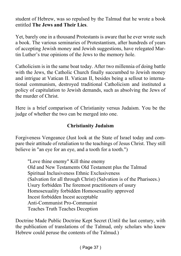student of Hebrew, was so repulsed by the Talmud that he wrote a book entitled **The Jews and Their Lies**.

Yet, barely one in a thousand Protestants is aware that he ever wrote such a book. The various seminaries of Protestantism, after hundreds of years of accepting Jewish money and Jewish suggestions, have relegated Martin Luther's true opinions of the Jews to the memory hole.

Catholicism is in the same boat today. After two millennia of doing battle with the Jews, the Catholic Church finally succumbed to Jewish money and intrigue at Vatican II. Vatican II, besides being a sellout to international communism, destroyed traditional Catholicism and instituted a policy of capitulation to Jewish demands, such as absolving the Jews of the murder of Christ.

Here is a brief comparison of Christianity versus Judaism. You be the judge of whether the two can be merged into one.

#### **Christianity Judaism**

Forgiveness Vengeance (Just look at the State of Israel today and compare their attitude of retaliation to the teachings of Jesus Christ. They still believe in "an eye for an eye, and a tooth for a tooth.")

"Love thine enemy" Kill thine enemy Old and New Testaments Old Testament plus the Talmud Spiritual Inclusiveness Ethnic Exclusiveness (Salvation for all through Christ) (Salvation is of the Pharisees.) Usury forbidden The foremost practitioners of usury Homosexuality forbidden Homosexuality approved Incest forbidden Incest acceptable Anti-Communist Pro-Communist Teaches Truth Teaches Deception

Doctrine Made Public Doctrine Kept Secret (Until the last century, with the publication of translations of the Talmud, only scholars who knew Hebrew could peruse the contents of the Talmud.)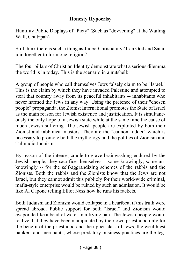#### **Honesty Hypocrisy**

Humility Public Displays of "Piety" (Such as "dovvening" at the Wailing Wall, Chutzpah)

Still think there is such a thing as Judeo-Christianity? Can God and Satan join together to form one religion?

The four pillars of Christian Identity demonstrate what a serious dilemma the world is in today. This is the scenario in a nutshell:

A group of people who call themselves Jews falsely claim to be "Israel." This is the claim by which they have invaded Palestine and attempted to steal that country away from its peaceful inhabitants -- inhabitants who never harmed the Jews in any way. Using the pretence of their "chosen people" propaganda, the Zionist International promotes the State of Israel as the main reason for Jewish existence and justification. It is simultaneously the only hope of a Jewish state while at the same time the cause of much Jewish suffering. The Jewish people are exploited by both their Zionist and rabbinical masters. They are the "cannon fodder" which is necessary to promote both the mythology and the politics of Zionism and Talmudic Judaism.

By reason of the intense, cradle-to-grave brainwashing endured by the Jewish people, they sacrifice themselves – some knowingly, some unknowingly -- for the self-aggrandizing schemes of the rabbis and the Zionists. Both the rabbis and the Zionists know that the Jews are not Israel, but they cannot admit this publicly for their world-wide criminal, mafia-style enterprise would be ruined by such an admission. It would be like Al Capone telling Elliot Ness how he runs his rackets.

Both Judaism and Zionism would collapse in a heartbeat if this truth were spread abroad. Public support for both "Israel" and Zionism would evaporate like a bead of water in a frying pan. The Jewish people would realize that they have been manipulated by their own priesthood only for the benefit of the priesthood and the upper class of Jews, the wealthiest bankers and merchants, whose predatory business practices are the leg-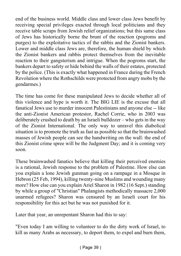end of the business world. Middle class and lower class Jews benefit by receiving special privileges exacted through local politicians and they receive table scraps from Jewish relief organizations; but this same class of Jews has historically borne the brunt of the reaction (pogroms and purges) to the exploitative tactics of the rabbis and the Zionist bankers. Lower and middle class Jews are, therefore, the human shield by which the Zionist bankers and rabbis protect themselves from the inevitable reaction to their gangsterism and intrigue. When the pogroms start, the bankers depart to safety or hide behind the walls of their estates, protected by the police. (This is exactly what happened in France during the French Revolution where the Rothschilds were protected from angry mobs by the gendarmes.)

The time has come for these manipulated Jews to decide whether all of this violence and hype is worth it. The BIG LIE is the excuse that all fanatical Jews use to murder innocent Palestinians and anyone else -- like the anti-Zionist American protestor, Rachel Corrie, who in 2003 was deliberately crushed to death by an Israeli bulldozer – who gets in the way of the Zionist International. The only way to unravel this diabolical situation is to promote the truth as fast as possible so that the brainwashed masses of Jewish people can see the handwriting on the wall: the end of this Zionist crime spree will be the Judgment Day; and it is coming very soon.

These brainwashed fanatics believe that killing their perceived enemies is a rational, Jewish response to the problem of Palestine. How else can you explain a lone Jewish gunman going on a rampage in a Mosque in Hebron (25 Feb, 1994), killing twenty-nine Muslims and wounding many more? How else can you explain Ariel Sharon in 1982 (16 Sept.) standing by while a group of "Christian" Phalangists methodically massacre 2,000 unarmed refugees? Sharon was censured by an Israeli court for his responsibility for this act but he was not punished for it.

Later that year, an unrepentant Sharon had this to say:

"Even today I am willing to volunteer to do the dirty work of Israel, to kill as many Arabs as necessary, to deport them, to expel and burn them,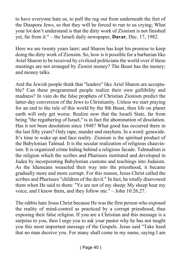to have everyone hate us, to pull the rug out from underneath the feet of the Diaspora Jews, so that they will be forced to run to us crying; What your lot don't understand is that the dirty work of Zionism is not finished yet, far from it." – the Israeli daily newspaper, **Davar**, Dec. 17, 1982.

Here we are twenty years later; and Sharon has kept his promise to keep doing the dirty work of Zionsim. So, how is it possible for a barbarian like Ariel Sharon to be received by civilized politicians the world over if these meetings are not arranged by Zionist money? The Beast has the money; and money talks.

And the Jewish people think that "leaders" like Ariel Sharon are acceptable? Can these programmed people realize their own gullibility and madness? In vain do the false prophets of Christian Zionism predict the latter-day conversion of the Jews to Christianity. Unless we start praying for an end to the rule of this world by the 8th Beast, then life on planet earth will only get worse. Realize now that the Israeli State, far from being "the regathering of Israel," is in fact the abomination of desolation. Has it not been desolation since 1948? What good has occurred there in the last fifty years? Only rape, murder and mayhem. In a word: genocide. It's time to wake up and face reality. Zionism is the spiritual product of the Babylonian Talmud. It is the secular realization of religious chauvinism. It is organized crime hiding behind a religious facade. Talmudism is the religion which the scribes and Pharisees instituted and developed in Judea by incorporating Babylonian customs and teachings into Judaism. As the Idumeans weaseled their way into the priesthood, it became gradually more and more corrupt. For this reason, Jesus Christ called the scribes and Pharisees "children of the devil." In fact, he totally disavowed them when He said to them: "Ye are not of my sheep; My sheep hear my voice, and I know them, and they follow me." – John 10:26,27.

The rabbis hate Jesus Christ because He was the first person who exposed the reality of mind-control as practiced by a corrupt priesthood, thus exposing their false religion. If you are a Christian and this message is a surprise to you, then I urge you to ask your pastor why he has not taught you this most important message of the Gospels. Jesus said "Take heed that no man deceive you. For many shall come in my name, saying I am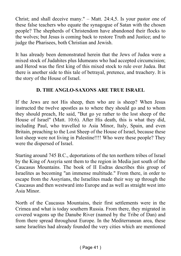Christ; and shall deceive many." – Matt. 24:4,5. Is your pastor one of these false teachers who equate the synagogue of Satan with the chosen people? The shepherds of Christendom have abandoned their flocks to the wolves; but Jesus is coming back to restore Truth and Justice; and to judge the Pharisees, both Christian and Jewish.

It has already been demonstrated herein that the Jews of Judea were a mixed stock of Judahites plus Idumeans who had accepted circumcision; and Herod was the first king of this mixed stock to rule over Judea. But there is another side to this tale of betrayal, pretence, and treachery. It is the story of the House of Israel.

#### **D. THE ANGLO-SAXONS ARE TRUE ISRAEL**

If the Jews are not His sheep, then who are is sheep? When Jesus instructed the twelve apostles as to where they should go and to whom they should preach, He said, "But go ye rather to the lost sheep of the House of Israel" (Matt. 10:6). After His death, this is what they did, including Paul, who travelled to Asia Minor, Italy, Spain, and even Britain, preaching to the Lost Sheep of the House of Israel, because these lost sheep were not living in Palestine!!!! Who were these people? They were the dispersed of Israel.

Starting around 745 B.C., deportations of the ten northern tribes of Israel by the King of Assyria sent them to the region in Media just south of the Caucasus Mountains. The book of II Esdras describes this group of Israelites as becoming "an immense multitude." From there, in order to escape from the Assyrians, the Israelites made their way up through the Caucasus and then westward into Europe and as well as straight west into Asia Minor.

North of the Caucasus Mountains, their first settlements were in the Crimea and what is today southern Russia. From there, they migrated in covered wagons up the Danube River (named by the Tribe of Dan) and from there spread throughout Europe. In the Mediterranean area, these same Israelites had already founded the very cities which are mentioned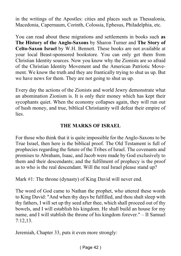in the writings of the Apostles: cities and places such as Thessalonia, Macedonia, Capernaum, Corinth, Colossia, Ephesus, Philadelphia, etc.

You can read about these migrations and settlements in books such **as The History of the Anglo-Saxons** by Sharon Turner and **The Story of Celto-Saxon Israel** by W.H. Bennett. These books are not available at your local Beast-sponsored bookstore. You can only get them from Christian Identity sources. Now you know why the Zionists are so afraid of the Christian Identity Movement and the American Patriotic Movement. We know the truth and they are frantically trying to shut us up. But we have news for them. They are not going to shut us up.

Every day the actions of the Zionists and world Jewry demonstrate what an abomination Zionism is. It is only their money which has kept their sycophants quiet. When the economy collapses again, they will run out of hush money, and true, biblical Christianity will defeat their empire of lies.

#### **THE MARKS OF ISRAEL**

For those who think that it is quite impossible for the Anglo-Saxons to be True Israel, then here is the biblical proof. The Old Testament is full of prophecies regarding the future of the Tribes of Israel. The covenants and promises to Abraham, Isaac, and Jacob were made by God exclusively to them and their descendants; and the fulfilment of prophecy is the proof as to who is the real descendant. Will the real Israel please stand up?

Mark #1: The throne (dynasty) of King David will never end.

The word of God came to Nathan the prophet, who uttered these words to King David: "And when thy days be fulfilled, and thou shalt sleep with thy fathers, I will set up thy seed after thee, which shall proceed out of thy bowels, and I will establish his kingdom. He shall build an house for my name, and I will stablish the throne of his kingdom forever." – II Samuel 7:12,13.

Jeremiah, Chapter 33, puts it even more strongly: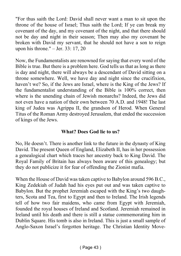"For thus saith the Lord: David shall never want a man to sit upon the throne of the house of Israel; Thus saith the Lord; If ye can break my covenant of the day, and my covenant of the night, and that there should not be day and night in their season; Then may also my covenant be broken with David my servant, that he should not have a son to reign upon his throne." – Jer. 33: 17, 20

Now, the Fundamentalists are renowned for saying that every word of the Bible is true. But there is a problem here. God tells us that as long as there is day and night, there will always be a descendant of David sitting on a throne somewhere. Well, we have day and night since the crucifixion, haven't we? So, if the Jews are Israel, where is the King of the Jews? If the fundamentalist understanding of the Bible is 100% correct, then where is the unending chain of Jewish monarchs? Indeed, the Jews did not even have a nation of their own between 70 A.D. and 1948! The last king of Judea was Agrippa II, the grandson of Herod. When General Titus of the Roman Army destroyed Jerusalem, that ended the succession of kings of the Jews.

#### **What? Does God lie to us?**

No, He doesn't. There is another link to the future in the dynasty of King David. The present Queen of England, Elizabeth II, has in her possession a genealogical chart which traces her ancestry back to King David. The Royal Family of Britain has always been aware of this genealogy; but they do not publicize it for fear of offending the Zionist mafia.

When the House of David was taken captive to Babylon around 596 B.C., King Zedekiah of Judah had his eyes put out and was taken captive to Babylon. But the prophet Jeremiah escaped with the King's two daughters, Scota and Tea, first to Egypt and then to Ireland. The Irish legends tell of how two fair maidens, who came from Egypt with Jeremiah, founded the royal houses of Ireland and Scotland. Jeremiah remained in Ireland until his death and there is still a statue commemorating him in Dublin Square. His tomb is also in Ireland. This is just a small sample of Anglo-Saxon Israel's forgotten heritage. The Christian Identity Move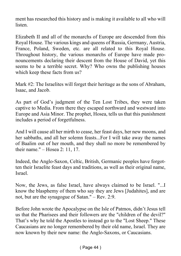ment has researched this history and is making it available to all who will **listen** 

Elizabeth II and all of the monarchs of Europe are descended from this Royal House. The various kings and queens of Russia, Germany, Austria, France, Poland, Sweden, etc. are all related to this Royal House. Throughout history, the various monarchs of Europe have made pronouncements declaring their descent from the House of David, yet this seems to be a terrible secret. Why? Who owns the publishing houses which keep these facts from us?

Mark #2: The Israelites will forget their heritage as the sons of Abraham, Isaac, and Jacob.

As part of God's judgment of the Ten Lost Tribes, they were taken captive to Media. From there they escaped northward and westward into Europe and Asia Minor. The prophet, Hosea, tells us that this punishment includes a period of forgetfulness.

And I will cause all her mirth to cease, her feast days, her new moons, and her sabbaths, and all her solemn feasts...For I will take away the names of Baalim out of her mouth, and they shall no more be remembered by their name." – Hosea 2: 11, 17.

Indeed, the Anglo-Saxon, Celtic, British, Germanic peoples have forgotten their Israelite feast days and traditions, as well as their original name, Israel.

Now, the Jews, as false Israel, have always claimed to be Israel. "...I know the blasphemy of them who say they are Jews [Judahites], and are not, but are the synagogue of Satan." – Rev. 2:9.

Before John wrote the Apocalypse on the Isle of Patmos, didn't Jesus tell us that the Pharisees and their followers are the "children of the devil?" That's why he told the Apostles to instead go to the "Lost Sheep." These Caucasians are no longer remembered by their old name, Israel. They are now known by their new name: the Anglo-Saxons, or Caucasians.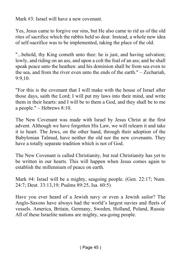Mark #3: Israel will have a new covenant.

Yes, Jesus came to forgive our sins, but He also came to rid us of the old rites of sacrifice which the rabbis held so dear. Instead, a whole new idea of self-sacrifice was to be implemented, taking the place of the old.

"...behold, thy King cometh unto thee: he is just, and having salvation; lowly, and riding on an ass, and upon a colt the foal of an ass; and he shall speak peace unto the heathen: and his dominion shall be from sea even to the sea, and from the river even unto the ends of the earth." – Zechariah, 9:9,10.

"For this is the covenant that I will make with the house of Israel after those days, saith the Lord; I will put my laws into their mind, and write them in their hearts: and I will be to them a God, and they shall be to me a people." – Hebrews 8:10.

The New Covenant was made with Israel by Jesus Christ at the first advent. Although we have forgotten His Law, we will relearn it and take it to heart. The Jews, on the other hand, through their adoption of the Babylonian Talmud, have neither the old nor the new covenants. They have a totally separate tradition which is not of God.

The New Covenant is called Christianity, but real Christianity has yet to be written in our hearts. This will happen when Jesus comes again to establish the millennium of peace on earth.

Mark #4: Israel will be a mighty, seagoing people. (Gen. 22:17; Num. 24:7; Deut. 33:13,19; Psalms 89:25, Isa. 60:5)

Have you ever heard of a Jewish navy or even a Jewish sailor? The Anglo-Saxons have always had the world's largest navies and fleets of vessels. America, Britain, Germany, Sweden, Holland, Poland, Russia: All of these Israelite nations are mighty, sea-going people.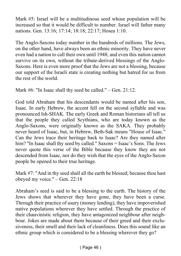Mark #5: Israel will be a multitudinous seed whose population will be increased so that it would be difficult to number. Israel will father many nations. Gen. 13:16; 17:14; 18:18; 22:17; Hosea 1:10.

The Anglo-Saxons today number in the hundreds of millions. The Jews, on the other hand, have always been an ethnic minority. They have never even had a nation to call their own until 1948; and even this nation cannot survive on its own, without the tribute-derived blessings of the Anglo-Saxons. Here is even more proof that the Jews are not a blessing, because our support of the Israeli state is creating nothing but hatred for us from the rest of the world.

Mark #6: "In Isaac shall thy seed be called." – Gen. 21:12.

God told Abraham that his descendants would be named after his son, Isaac. In early Hebrew, the accent fell on the second syllable and was pronounced Ish-SHAK. The early Greek and Roman historians all tell us that the people they called Scythians, who are today known as the Anglo-Saxons, were originally known as the SAKA. They probably never heard of Isaac, but, in Hebrew, Beth-Sak means "House of Isaac." Can the Jews trace their heritage back to Isaac? Are they named after him? "In Isaac shall thy seed by called." Saxons = Isaac's Sons. The Jews never quote this verse of the Bible because they know they are not descended from Isaac, nor do they wish that the eyes of the Anglo-Saxon people be opened to their true heritage.

Mark #7: "And in thy seed shall all the earth be blessed; because thou hast obeyed my voice." – Gen. 22:18

Abraham's seed is said to be a blessing to the earth. The history of the Jews shows that wherever they have gone, they have been a curse. Through their practice of usury (money lending), they have impoverished native populations wherever they have settled. Through the practice of their chauvinistic religion, they have antagonized neighbour after neighbour. Jokes are made about them because of their greed and their exclusiveness, their smell and their lack of cleanliness. Does this sound like an ethnic group which is considered to be a blessing wherever they go?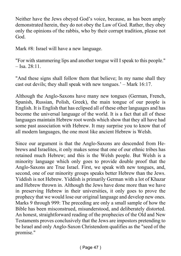Neither have the Jews obeyed God's voice, because, as has been amply demonstrated herein, they do not obey the Law of God. Rather, they obey only the opinions of the rabbis, who by their corrupt tradition, please not God.

Mark #8: Israel will have a new language.

"For with stammering lips and another tongue will I speak to this people."  $-$  Isa. 28:11.

"And these signs shall follow them that believe; In my name shall they cast out devils; they shall speak with new tongues.' – Mark 16:17.

Although the Anglo-Saxons have many new tongues (German, French, Spanish, Russian, Polish, Greek), the main tongue of our people is English. It is English that has eclipsed all of these other languages and has become the universal language of the world. It is a fact that all of these languages maintain Hebrew root words which show that they all have had some past association with Hebrew. It may surprise you to know that of all modern languages, the one most like ancient Hebrew is Welsh.

Since our argument is that the Anglo-Saxons are descended from Hebrews and Israelites, it only makes sense that one of our ethnic tribes has retained much Hebrew; and this is the Welsh people. But Welsh is a minority language which only goes to provide double proof that the Anglo-Saxons are True Israel. First, we speak with new tongues, and, second, one of our minority groups speaks better Hebrew than the Jews. Yiddish is not Hebrew. Yiddish is primarily German with a lot of Khazar and Hebrew thrown in. Although the Jews have done more than we have in preserving Hebrew in their universities, it only goes to prove the prophecy that we would lose our original language and develop new ones. Marks 9 through 999: The preceding are only a small sample of how the Bible has been misconstrued, misunderstood, and deliberately distorted. An honest, straightforward reading of the prophecies of the Old and New Testaments proves conclusively that the Jews are impostors pretending to be Israel and only Anglo-Saxon Christendom qualifies as the "seed of the promise."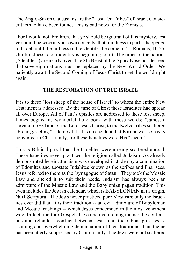The Anglo-Saxon Caucasians are the "Lost Ten Tribes" of Israel. Consider them to have been found. This is bad news for the Zionists.

"For I would not, brethren, that ye should be ignorant of this mystery, lest ye should be wise in your own conceits; that blindness in part is happened to Israel, until the fullness of the Gentiles be come in." – Romans, 10:25. Our blindness to our identity is beginning to lift. The times of the nations ("Gentiles") are nearly over. The 8th Beast of the Apocalypse has decreed that sovereign nations must be replaced by the New World Order. We patiently await the Second Coming of Jesus Christ to set the world right again.

#### **THE RESTORATION OF TRUE ISRAEL**

It is to these "lost sheep of the house of Israel" to whom the entire New Testament is addressed. By the time of Christ these Israelites had spread all over Europe. All of Paul's epistles are addressed to these lost sheep. James begins his wonderful little book with these words: "James, a servant of God and of the Lord Jesus Christ, to the twelve tribes scattered abroad, greeting." – James 1:1. It is no accident that Europe was so easily converted to Christianity, for these Israelites were His "sheep."

This is Biblical proof that the Israelites were already scattered abroad. These Israelites never practiced the religion called Judaism. As already demonstrated herein: Judaism was developed in Judea by a combination of Edomites and apostate Judahites known as the scribes and Pharisees. Jesus referred to them as the "synagogue of Satan". They took the Mosaic Law and altered it to suit their needs. Judaism has always been an admixture of the Mosaic Law and the Babylonian pagan tradition. This even includes the Jewish calendar, which is BABYLONIAN in its origin, NOT Scriptural. The Jews never practiced pure Mosaism; only the Israelites ever did that. It is their tradition -- an evil admixture of Babylonian and Mosaic teachings -- which Jesus condemned in the most vehement way. In fact, the four Gospels have one overarching theme: the continuous and relentless conflict between Jesus and the rabbis plus Jesus' scathing and overwhelming denunciation of their traditions. This theme has been utterly suppressed by Churchianity. The Jews were not scattered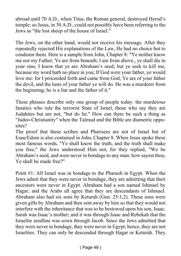abroad until 70 A.D., when Titus, the Roman general, destroyed Herod's temple; so Jesus, in 30 A.D., could not possibly have been referring to the Jews as "the lost sheep of the house of Israel."

The Jews, on the other hand, would not receive his message. After they repeatedly rejected His explanations of the Law, He had no choice but to condemn them. Here is a sample from John, Chapter 8: "Ye neither know me nor my Father; Ye are from beneath; I am from above., ye shall die in your sins; I know that ye are Abraham's seed; but ye seek to kill me, because my word hath no place in you; If God were your father, ye would love me: for I proceeded forth and came from God; Ye are of your father the devil, and the lusts of your father ye will do. He was a murderer from the beginning; he is a liar and the father of it."

These phrases describe only one group of people today: the murderous fanatics who rule the terrorist State of Israel, those who say they are Judahites but are not, "but do lie." How can there be such a thing as "Judeo-Christianity" when the Talmud and the Bible are diametric opposites?

The proof that these scribes and Pharisees are not of Israel but of Esau/Edom is also contained in John, Chapter 8. When Jesus spoke these most famous words, "Ye shall know the truth, and the truth shall make you free," the Jews understood Him not, for they replied, "We be Abraham's seed, and were never in bondage to any man: how sayest thou, Ye shall be made free?"

Point #1: All Israel was in bondage to the Pharaoh in Egypt. When the Jews admit that they were never in bondage, they are admitting that their ancestors were never in Egypt. Abraham had a son named Ishmael by Hagar; and the Arabs all agree that they are descendants of Ishmael. Abraham also had six sons by Keturah (Gen. 25:1,2). These sons were given gifts by Abraham and then sent away by him so that they would not interfere with the inheritance that was to be bestowed upon his son, Isaac. Sarah was Isaac's mother; and it was through Isaac and Rebekah that the Israelite seedline was sown through Jacob. Since the Jews admitted that they were never in bondage, they were never in Egypt; hence, they are not Israelites. They can only be descended through Hagar or Keturah. They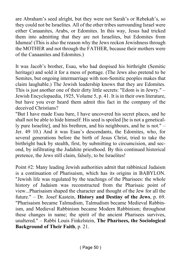are Abraham's seed alright, but they were not Sarah's or Rebekah's, so they could not be Israelites. All of the other tribes surrounding Israel were either Canaanites, Arabs, or Edomites. In this way, Jesus had tricked them into admitting that they are not Israelites, but Edomites from Idumea! (This is also the reason why the Jews reckon Jewishness through the MOTHER and not through the FATHER, because their mothers were of the Canaanites and Edomites.)

It was Jacob's brother, Esau, who had despised his birthright (Semitic heritage) and sold it for a mess of pottage. (The Jews also pretend to be Semites, but ongoing intermarriage with non-Semitic peoples makes that claim laughable.) The Jewish leadership knows that they are Edomites. This is just another one of their dirty little secrets: "Edom is in Jewry." – Jewish Encyclopaedia, 1925, Volume 5, p. 41. It is in their own literature, but have you ever heard them admit this fact in the company of the deceived Christians?

"But I have made Esau bare, I have uncovered his secret places, and he shall not be able to hide himself: His seed is spoiled [he is not a genetically pure Israelite], and his brethren, and his neighbours, and he is not." – Jer. 49 10.) And it was Esau's descendants, the Edomites, who, for several generations before the birth of Jesus Christ, tried to take the birthright back by stealth, first, by submitting to circumcision, and second, by infiltrating the Judahite priesthood. By this continued historical pretence, the Jews still claim, falsely, to be Israelites!

Point #2: Many leading Jewish authorities admit that rabbinical Judaism is a continuation of Pharisaism, which has its origins in BABYLON. "Jewish life was regulated by the teachings of the Pharisees: the whole history of Judaism was reconstructed from the Pharisaic point of view...Pharisaism shaped the character and thought of the Jew for all the future." – Dr. Josef Kastein, **History and Destiny of the Jews**, p. 69. "Pharisaism became Talmudism, Talmudism became Medieval Rabbinism, and Medieval Rabbinism became Modern Rabbinism; throughout these changes in name; the spirit of the ancient Pharisees survives, unaltered." – Rabbi Louis Finkelstein, **The Pharisees, the Sociological Background of Their Faith**, p. 21.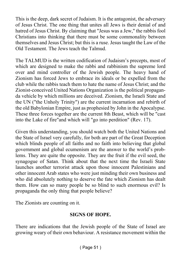This is the deep, dark secret of Judaism. It is the antagonist, the adversary of Jesus Christ. The one thing that unites all Jews is their denial of and hatred of Jesus Christ. By claiming that "Jesus was a Jew," the rabbis fool Christians into thinking that there must be some commonality between themselves and Jesus Christ; but this is a ruse. Jesus taught the Law of the Old Testament. The Jews teach the Talmud.

The TALMUD is the written codification of Judaism's precepts, most of which are designed to make the rabbi and rabbinism the supreme lord over and mind controller of the Jewish people. The heavy hand of Zionism has forced Jews to embrace its ideals or be expelled from the club while the rabbis teach them to hate the name of Jesus Christ; and the Zionist-conceived United Nations Organization is the political propaganda vehicle by which millions are deceived. Zionism, the Israeli State and the UN ("the Unholy Trinity") are the current incarnation and rebirth of the old Babylonian Empire, just as prophesied by John in the Apocalypse. These three forces together are the current 8th Beast, which will be "cast into the Lake of fire"and which will "go into perdition" (Rev. 17).

Given this understanding, you should watch both the United Nations and the State of Israel very carefully, for both are part of the Great Deception which blinds people of all faiths and no faith into believing that global government and global ecumenism are the answer to the world's problems. They are quite the opposite. They are the fruit if the evil seed, the synagogue of Satan. Think about that the next time the Israeli State launches another terrorist attack upon those innocent Palestinians and other innocent Arab states who were just minding their own business and who did absolutely nothing to deserve the fate which Zionism has dealt them. How can so many people be so blind to such enormous evil? Is propaganda the only thing that people believe?

The Zionists are counting on it.

#### **SIGNS OF HOPE.**

There are indications that the Jewish people of the State of Israel are growing weary of their own behaviour. A resistance movement within the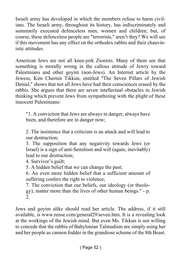Israeli army has developed in which the members refuse to harm civilians. The Israeli army, throughout its history, has indiscriminately and summarily executed defenceless men, women and children; but, of course, these defenceless people are "terrorists," aren't they? We will see if this movement has any effect on the orthodox rabbis and their chauvinistic attitudes.

American Jews are not all knee-jerk Zionists. Many of them see that something is morally wrong in the callous attitude of Jewry toward Palestinians and other goyim (non-Jews). An Internet article by the Jewess, Kim Chernin Tikkun, entitled "The Seven Pillars of Jewish Denial," shows that not all Jews have had their consciences erased by the rabbis. She argues that there are seven intellectual obstacles in Jewish thinking which prevent Jews from sympathizing with the plight of these innocent Palestinians:

"1. A conviction that Jews are always in danger, always have been, and therefore are in danger now;

2. The insistence that a criticism is an attack and will lead to our destruction;

3. The supposition that any negativity towards Jews (or Israel) is a sign of anti-Semitism and will (again, inevitably) lead to our destruction;

4. Survivor's guilt;

5. A hidden belief that we can change the past;

6. An even more hidden belief that a sufficient amount of suffering confers the right to violence;

7. The conviction that our beliefs, our ideology (or theology), matter more than the lives of other human beings." - p. 2.

Jews and goyim alike should read her article. The address, if it still available, is www.rense.com/general29/seven.htm. It is a revealing look at the workings of the Jewish mind. But even Ms. Tikkun is not willing to concede that the rabbis of Babylonian Talmudism are simply using her and her people as cannon fodder in the grandiose scheme of the 8th Beast.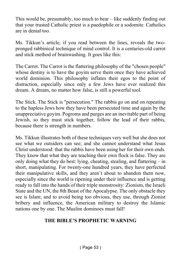This would be, presumably, too much to bear – like suddenly finding out that your trusted Catholic priest is a paedophile or a sodomite. Catholics are in denial too.

Ms. Tikkun's article, if you read between the lines, reveals the twopronged rabbinical technique of mind control. It is a centuries-old carrot and stick method of brainwashing. It goes like this:

The Carrot. The Carrot is the flattering philosophy of the "chosen people" whose destiny is to have the goyim serve them once they have achieved world dominion. This philosophy inflates their egos to the point of distraction, especially since only a few Jews have ever realized this dream. A dream, no matter how false, is still a powerful tool.

The Stick. The Stick is "persecution." The rabbis go on and on repeating to the hapless Jews how they have been persecuted time and again by the unappreciative goyim. Pogroms and purges are an inevitable part of being Jewish, so they must stick together, follow the lead of their rabbis, because there is strength in numbers.

Ms. Tikkun illustrates both of these techniques very well but she does not see what we outsiders can see; and she cannot understand what Jesus Christ understood: that the rabbis have been using her for their own ends. They know that what they are teaching their own flock is false. They are only doing what they do best: lying, cheating, stealing, and flattering – in short, manipulating. For twenty-one hundred years, they have perfected their manipulative skills, and they aren't about to abandon them now, especially since the world is ripening under their influence and is getting ready to fall into the hands of their triple monstrosity: Zionism, the Israeli State and the UN, the 8th Beast of the Apocalypse. The only obstacle they see is Islam; and to avoid being too obvious, they use, through Zionist bribery and influence, the American military to destroy the Islamic nations one by one. The Muslim dominoes must fall!

#### **THE BIBLE'S PROPHETIC WARNING**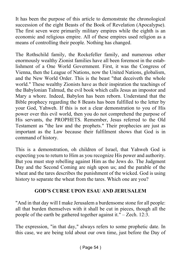It has been the purpose of this article to demonstrate the chronological succession of the eight Beasts of the Book of Revelation (Apocalypse). The first seven were primarily military empires while the eighth is an economic and religious empire. All of these empires used religion as a means of controlling their people. Nothing has changed.

The Rothschild family, the Rockefeller family, and numerous other enormously wealthy Zionist families have all been foremost in the establishment of a One World Government. First, it was the Congress of Vienna, then the League of Nations, now the United Nations, globalism, and the New World Order. This is the beast "that deceiveth the whole world." These wealthy Zionists have as their inspiration the teachings of the Babylonian Talmud, the evil book which calls Jesus an impostor and Mary a whore. Indeed, Babylon has been reborn. Understand that the Bible prophecy regarding the 8 Beasts has been fulfilled to the letter by your God, Yahweh. If this is not a clear demonstration to you of His power over this evil world, then you do not comprehend the purpose of His servants, the PROPHETS. Remember, Jesus referred to the Old Testament as "the law and the prophets." Their prophecies are just as important as the Law because their fulfilment shows that God is in command of history.

This is a demonstration, oh children of Israel, that Yahweh God is expecting you to return to Him as you recognize His power and authority. But you must stop rebelling against Him as the Jews do. The Judgment Day and the Second Coming are nigh upon us; and the parable of the wheat and the tares describes the punishment of the wicked. God is using history to separate the wheat from the tares. Which one are you?

#### **GOD'S CURSE UPON ESAU AND JERUSALEM**

"And in that day will I make Jerusalem a burdensome stone for all people: all that burden themselves with it shall be cut in pieces, though all the people of the earth be gathered together against it." – Zech. 12:3.

The expression, "in that day," always refers to some prophetic date. In this case, we are being told about our own time, just before the Day of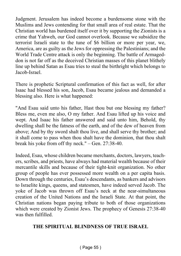Judgment. Jerusalem has indeed become a burdensome stone with the Muslims and Jews contending for that small area of real estate. That the Christian world has burdened itself over it by supporting the Zionists is a crime that Yahweh, our God cannot overlook. Because we subsidize the terrorist Israeli state to the tune of \$6 billion or more per year, we, America, are as guilty as the Jews for oppressing the Palestinians; and the World Trade Centre attack is only the beginning. The battle of Armageddon is not far off as the deceived Christian masses of this planet blithely line up behind Satan as Esau tries to steal the birthright which belongs to Jacob-Israel.

There is prophetic Scriptural confirmation of this fact as well, for after Isaac had blessed his son, Jacob, Esau became jealous and demanded a blessing also. Here is what happened:

"And Esau said unto his father, Hast thou but one blessing my father? Bless me, even me also, O my father. And Esau lifted up his voice and wept. And Isaac his father answered and said unto him, Behold, thy dwelling shall be the fatness of the earth, and of the dew of heaven from above; And by thy sword shalt thou live, and shall serve thy brother; and it shall come to pass when thou shalt have the dominion, that thou shalt break his yoke from off thy neck." – Gen. 27:38-40.

Indeed, Esau, whose children became merchants, doctors, lawyers, teachers, scribes, and priests, have always had material wealth because of their mercantile skills and because of their tight-knit organization. No other group of people has ever possessed more wealth on a per capita basis. Down through the centuries, Esau's descendants, as bankers and advisors to Israelite kings, queens, and statesmen, have indeed served Jacob. The yoke of Jacob was thrown off Esau's neck at the near-simultaneous creation of the United Nations and the Israeli State. At that point, the Christian nations began paying tribute to both of those organizations which were created by Zionist Jews. The prophecy of Genesis 27:38-40 was then fulfilled.

#### **THE SPIRITUAL BLINDNESS OF TRUE ISRAEL**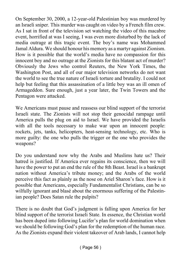On September 30, 2000, a 12-year-old Palestinian boy was murdered by an Israeli sniper. This murder was caught on video by a French film crew. As I sat in front of the television set watching the video of this macabre event, horrified at was I seeing, I was even more disturbed by the lack of media outrage at this tragic event. The boy's name was Mohammed Jamal Aldura. We should honour his memory as a martyr against Zionism. How is it possible that the world's media have no compassion for this innocent boy and no outrage at the Zionists for this blatant act of murder? Obviously the Jews who control Reuters, the New York Times, the Washington Post, and all of our major television networks do not want the world to see the true nature of Israeli torture and brutality. I could not help but feeling that this assassination of a little boy was an ill omen of Armageddon. Sure enough, just a year later, the Twin Towers and the Pentagon were attacked.

We Americans must pause and reassess our blind support of the terrorist Israeli state. The Zionists will not stop their genocidal rampage until America pulls the plug on aid to Israel. We have provided the Israelis with all the tools necessary to make war upon an innocent people: rockets, jets, tanks, helicopters, heat-sensing technology, etc. Who is more guilty: the one who pulls the trigger or the one who provides the weapons?

Do you understand now why the Arabs and Muslims hate us? Their hatred is justified. If America ever regains its conscience, then we will have the power to put an end the rule of the 8th Beast. Israel is a bankrupt nation without America's tribute money; and the Arabs of the world perceive this fact as plainly as the nose on Ariel Sharon's face. How is it possible that Americans, especially Fundamentalist Christians, can be so wilfully ignorant and blasé about the enormous suffering of the Palestinian people? Does Satan rule the pulpits?

There is no doubt that God's judgment is falling upon America for her blind support of the terrorist Israeli State. In essence, the Christian world has been duped into following Lucifer's plan for world domination when we should be following God's plan for the redemption of the human race. As the Zionists expand their violent takeover of Arab lands, I cannot help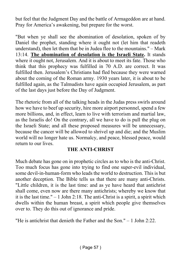but feel that the Judgment Day and the battle of Armageddon are at hand. Pray for America's awakening, but prepare for the worst.

"But when ye shall see the abomination of desolation, spoken of by Daniel the prophet, standing where it ought not (let him that readeth understand), then let them that be in Judea flee to the mountains." – Mark 13:14. **The abomination of desolation is the Israeli State.** It stands where it ought not, Jerusalem. And it is about to meet its fate. Those who think that this prophecy was fulfilled in 70 A.D. are correct. It was fulfilled then. Jerusalem's Christians had fled because they were warned about the coming of the Roman army. 1930 years later, it is about to be fulfilled again, as the Talmudists have again occupied Jerusalem, as part of the last days just before the Day of Judgment.

The rhetoric from all of the talking heads in the Judas press swirls around how we have to beef up security, hire more airport personnel, spend a few more billions, and, in effect, learn to live with terrorism and martial law, as the Israelis do! On the contrary, all we have to do is pull the plug on the Israeli State; and all these proposed measures will be unnecessary, because the cancer will be allowed to shrivel up and die; and the Muslim world will no longer hate us. Normalcy, and peace, blessed peace, would return to our lives.

#### **THE ANTI-CHRIST**

Much debate has gone on in prophetic circles as to who is the anti-Christ. Too much focus has gone into trying to find one super-evil individual, some devil-in-human-form who leads the world to destruction. This is but another deception. The Bible tells us that there are many anti-Christs. "Little children, it is the last time: and as ye have heard that antichrist shall come, even now are there many antichrists; whereby we know that it is the last time."  $-1$  John 2:18. The anti-Christ is a spirit, a spirit which dwells within the human breast, a spirit which people give themselves over to. They do this out of ignorance and pride.

"He is antichrist that denieth the Father and the Son."  $-1$  John 2:22.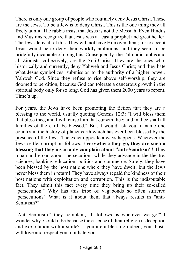There is only one group of people who routinely deny Jesus Christ. These are the Jews. To be a Jew is to deny Christ. This is the one thing they all freely admit. The rabbis insist that Jesus is not the Messiah. Even Hindus and Muslims recognize that Jesus was at least a prophet and great healer. The Jews deny all of this. They will not have Him over them; for to accept Jesus would be to deny their worldly ambitions; and they seem to be pridefully incapable of doing this. Consequently, the Talmudic rabbis and all Zionists, collectively, are the Anti-Christ. They are the ones who, historically and currently, deny Yahweh and Jesus Christ; and they hate what Jesus symbolizes: submission to the authority of a higher power, Yahweh God. Since they refuse to rise above self-worship, they are doomed to perdition, because God can tolerate a cancerous growth in the spiritual body only for so long. God has given them 2000 years to repent. Time's up.

For years, the Jews have been promoting the fiction that they are a blessing to the world, usually quoting Genesis 12:3: "I will bless them that bless thee, and I will curse him that curseth thee: and in thee shall all families of the earth be blessed." But, I would ask you to name one country in the history of planet earth which has ever been blessed by the presence of the Jews. The exact opposite always happens. Wherever the Jews settle, corruption follows. **Everywhere they go, they are such a blessing that they invariably complain about "anti-Semitism"**! They moan and groan about "persecution" while they advance in the theatre, sciences, banking, education, politics and commerce. Surely, they have been blessed by the host nations where they have dwelt; but the Jews never bless them in return! They have always repaid the kindness of their host nations with exploitation and corruption. This is the indisputable fact. They admit this fact every time they bring up their so-called "persecution." Why has this tribe of vagabonds so often suffered "persecution?" What is it about them that always results in "anti-Semitism?"

"Anti-Semitism," they complain, "It follows us wherever we go!" I wonder why. Could it be because the essence of their religion is deception and exploitation with a smile? If you are a blessing indeed, your hosts will love and respect you, not hate you.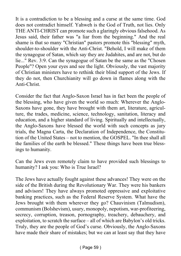It is a contradiction to be a blessing and a curse at the same time. God does not contradict himself. Yahweh is the God of Truth, not lies. Only THE ANTI-CHRIST can promote such a glaringly obvious falsehood. As Jesus said, their father was "a liar from the beginning." And the real shame is that so many "Christian" pastors promote this "blessing" myth, shoulder-to-shoulder with the Anti-Christ. "Behold, I will make of them the synagogue of Satan, which say they are Judahites, and are not, but do lie..." Rev. 3:9. Can the synagogue of Satan be the same as the "Chosen People"? Open your eyes and see the light. Obviously, the vast majority of Christian ministers have to rethink their blind support of the Jews. If they do not, then Churchianity will go down in flames along with the Anti-Christ.

Consider the fact that Anglo-Saxon Israel has in fact been the people of the blessing, who have given the world so much: Wherever the Anglo-Saxons have gone, they have brought with them art, literature, agriculture, the trades, medicine, science, technology, sanitation, literacy and education, and a higher standard of living. Spiritually and intellectually, the Anglo-Saxons have blessed the world with such concepts as jury trials, the Magna Carta, the Declaration of Independence, the Constitution of the United States – not to mention, the GOSPEL. "In thee shall all the families of the earth be blessed." These things have been true blessings to humanity.

Can the Jews even remotely claim to have provided such blessings to humanity? I ask you: Who is True Israel?

The Jews have actually fought against these advances! They were on the side of the British during the Revolutionary War. They were his bankers and advisors! They have always promoted oppressive and exploitative banking practices, such as the Federal Reserve System. What have the Jews brought with them wherever they go? Chauvinism (Talmudism), communism (Bolshevism), usury, monopoly, nepotism, war-profiteering, secrecy, corruption, treason, pornography, treachery, debauchery, and exploitation, to scratch the surface – all of which are Babylon's old tricks. Truly, they are the people of God's curse. Obviously, the Anglo-Saxons have made their share of mistakes; but we can at least say that they have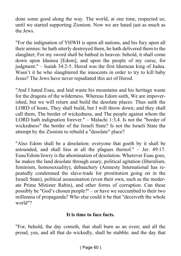done some good along the way. The world, at one time, respected us; until we started supporting Zionism. Now we are hated just as much as the Jews.

"For the indignation of YHWH is upon all nations, and his fury upon all their armies: he hath utterly destroyed them, he hath delivered them to the slaughter; For my sword shall be bathed in heaven: behold, it shall come down upon Idumea [Edom], and upon the people of my curse, for judgment." – Isaiah 34:2-5. Herod was the first Idumean king of Judea. Wasn't it he who slaughtered the innocents in order to try to kill baby Jesus? The Jews have never repudiated this act of Herod.

"And I hated Esau, and laid waste his mountains and his heritage waste for the dragons of the wilderness. Whereas Edom saith, We are impoverished, but we will return and build the desolate places: Thus saith the LORD of hosts, They shall build, but I will throw down; and they shall call them, The border of wickedness, and The people against whom the LORD hath indignation forever." – Malachi 1:3,4. Is not the "border of wickedness" the border of the Israeli State? Is not the Israeli State the attempt by the Zionists to rebuild a "desolate" place?

"Also Edom shall be a desolation: everyone that goeth by it shall be astounded, and shall hiss at all the plagues thereof." – Jer. 49:17. Esau/Edom/Jewry is the abomination of desolation. Wherever Esau goes, he makes the land desolate through usury, political agitation (liberalism, feminism, homosexuality), debauchery (Amnesty International has repeatedly condemned the slave-trade for prostitution going on in the Israeli State), political assassination (even their own, such as the moderate Prime Minister Rabin), and other forms of corruption. Can these possibly be "God's chosen people?" – or have we succumbed to their two millennia of propaganda? Who else could it be that "deceiveth the whole world"?

#### **It is time to face facts.**

"For, behold, the day cometh, that shall burn as an oven; and all the proud, yea, and all that do wickedly, shall be stubble: and the day that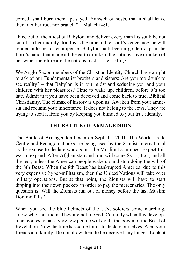cometh shall burn them up, sayeth Yahweh of hosts, that it shall leave them neither root nor branch." – Malachi  $4:1$ .

"Flee out of the midst of Babylon, and deliver every man his soul: be not cut off in her iniquity; for this is the time of the Lord's vengeance; he will render unto her a recompense. Babylon hath been a golden cup in the Lord's hand, that made all the earth drunken: the nations have drunken of her wine; therefore are the nations mad." – Jer. 51:6,7.

We Anglo-Saxon members of the Christian Identity Church have a right to ask of our Fundamentalist brothers and sisters: Are you too drunk to see reality? – that Babylon is in our midst and seducing you and your children with her pleasures? Time to wake up, children, before it's too late. Admit that you have been deceived and come back to true, Biblical Christianity. The climax of history is upon us. Awaken from your amnesia and reclaim your inheritance. It does not belong to the Jews. They are trying to steal it from you by keeping you blinded to your true identity.

#### **THE BATTLE OF ARMAGEDDON**

The Battle of Armageddon began on Sept. 11, 2001. The World Trade Centre and Pentagon attacks are being used by the Zionist International as the excuse to declare war against the Muslim Dominoes. Expect this war to expand. After Afghanistan and Iraq will come Syria, Iran, and all the rest, unless the American people wake up and stop doing the will of the 8th Beast. When the 8th Beast has bankrupted America, due to this very expensive hyper-militarism, then the United Nations will take over military operations. But at that point, the Zionists will have to start dipping into their own pockets in order to pay the mercenaries. The only question is: Will the Zionists run out of money before the last Muslim Domino falls?

When you see the blue helmets of the U.N. soldiers come marching, know who sent them. They are not of God. Certainly when this development comes to pass, very few people will doubt the power of the Beast of Revelation. Now the time has come for us to declare ourselves. Alert your friends and family. Do not allow them to be deceived any longer. Look at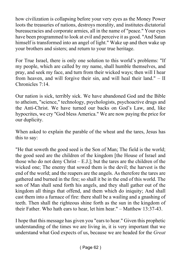how civilization is collapsing before your very eyes as the Money Power loots the treasuries of nations, destroys morality, and institutes dictatorial bureaucracies and corporate armies, all in the name of "peace." Your eyes have been programmed to look at evil and perceive it as good. "And Satan himself is transformed into an angel of light." Wake up and then wake up your brothers and sisters; and return to your true heritage.

For True Israel, there is only one solution to this world's problems: "If my people, which are called by my name, shall humble themselves, and pray, and seek my face, and turn from their wicked ways; then will I hear from heaven, and will forgive their sin, and will heal their land." – II Chronicles 7:14.

Our nation is sick, terribly sick. We have abandoned God and the Bible to atheism, "science," technology, psychologists, psychoactive drugs and the Anti-Christ. We have turned our backs on God's Law, and, like hypocrites, we cry "God bless America." We are now paying the price for our duplicity.

When asked to explain the parable of the wheat and the tares, Jesus has this to say:

"He that soweth the good seed is the Son of Man; The field is the world; the good seed are the children of the kingdom [the House of Israel and those who do not deny Christ – E.J.]; but the tares are the children of the wicked one; The enemy that sowed them is the devil; the harvest is the end of the world; and the reapers are the angels. As therefore the tares are gathered and burned in the fire; so shall it be in the end of this world. The son of Man shall send forth his angels, and they shall gather out of the kingdom all things that offend, and them which do iniquity; And shall cast them into a furnace of fire: there shall be a wailing and a gnashing of teeth. Then shall the righteous shine forth as the sun in the kingdom of their Father. Who hath ears to hear, let him hear." – Matthew 13:37-43.

I hope that this message has given you "ears to hear." Given this prophetic understanding of the times we are living in, it is very important that we understand what God expects of us, because we are headed for the *Great*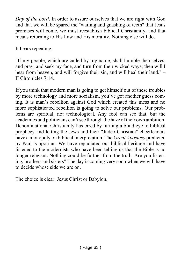*Day of the Lord*. In order to assure ourselves that we are right with God and that we will be spared the "wailing and gnashing of teeth" that Jesus promises will come, we must reestablish biblical Christianity, and that means returning to His Law and His morality. Nothing else will do.

It bears repeating:

"If my people, which are called by my name, shall humble themselves, and pray, and seek my face, and turn from their wicked ways; then will I hear from heaven, and will forgive their sin, and will heal their land." – II Chronicles 7:14.

If you think that modern man is going to get himself out of these troubles by more technology and more socialism, you've got another guess coming. It is man's rebellion against God which created this mess and no more sophisticated rebellion is going to solve our problems. Our problems are spiritual, not technological. Any fool can see that, but the academics and politicians can't see through the haze of their own ambition. Denominational Christianity has erred by turning a blind eye to biblical prophecy and letting the Jews and their "Judeo-Christian" cheerleaders have a monopoly on biblical interpretation. The *Great Apostasy* predicted by Paul is upon us. We have repudiated our biblical heritage and have listened to the modernists who have been telling us that the Bible is no longer relevant. Nothing could be further from the truth. Are you listening, brothers and sisters? The day is coming very soon when we will have to decide whose side we are on.

The choice is clear: Jesus Christ or Babylon.